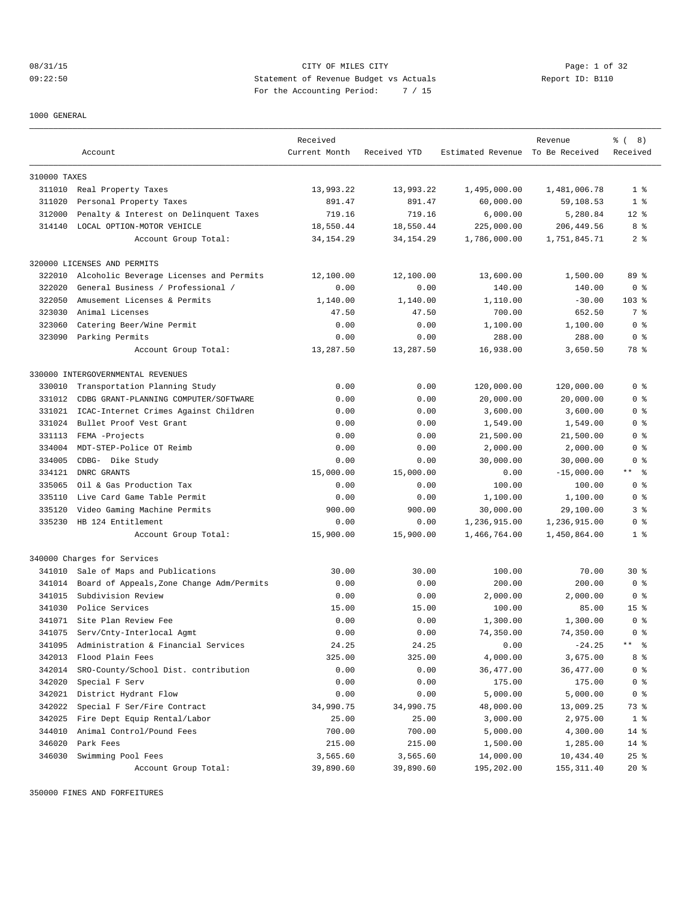08/31/15 CITY OF MILES CITY Page: 1 of 32 09:22:50 Statement of Revenue Budget vs Actuals Report ID: B110 For the Accounting Period: 7 / 15

1000 GENERAL

|              |                                           | Received      |              |                                  | Revenue      | <sub>ර</sub> ි (8) |
|--------------|-------------------------------------------|---------------|--------------|----------------------------------|--------------|--------------------|
|              | Account                                   | Current Month | Received YTD | Estimated Revenue To Be Received |              | Received           |
| 310000 TAXES |                                           |               |              |                                  |              |                    |
|              | 311010 Real Property Taxes                | 13,993.22     | 13,993.22    | 1,495,000.00                     | 1,481,006.78 | 1 <sup>8</sup>     |
| 311020       | Personal Property Taxes                   | 891.47        | 891.47       | 60,000.00                        | 59,108.53    | 1 <sup>8</sup>     |
| 312000       | Penalty & Interest on Delinquent Taxes    | 719.16        | 719.16       | 6,000.00                         | 5,280.84     | $12*$              |
|              | 314140 LOCAL OPTION-MOTOR VEHICLE         | 18,550.44     | 18,550.44    | 225,000.00                       | 206,449.56   | 8 %                |
|              | Account Group Total:                      | 34, 154. 29   | 34, 154. 29  | 1,786,000.00                     | 1,751,845.71 | 2 <sub>8</sub>     |
|              | 320000 LICENSES AND PERMITS               |               |              |                                  |              |                    |
| 322010       | Alcoholic Beverage Licenses and Permits   | 12,100.00     | 12,100.00    | 13,600.00                        | 1,500.00     | 89 %               |
| 322020       | General Business / Professional /         | 0.00          | 0.00         | 140.00                           | 140.00       | 0 <sup>8</sup>     |
| 322050       | Amusement Licenses & Permits              | 1,140.00      | 1,140.00     | 1,110.00                         | $-30.00$     | $103$ %            |
| 323030       | Animal Licenses                           | 47.50         | 47.50        | 700.00                           | 652.50       | 7 %                |
| 323060       | Catering Beer/Wine Permit                 | 0.00          | 0.00         | 1,100.00                         | 1,100.00     | 0 <sup>8</sup>     |
|              | 323090 Parking Permits                    | 0.00          | 0.00         | 288.00                           | 288.00       | 0 <sup>8</sup>     |
|              | Account Group Total:                      | 13,287.50     | 13,287.50    | 16,938.00                        | 3,650.50     | 78 %               |
|              | 330000 INTERGOVERNMENTAL REVENUES         |               |              |                                  |              |                    |
| 330010       | Transportation Planning Study             | 0.00          | 0.00         | 120,000.00                       | 120,000.00   | 0 <sup>8</sup>     |
| 331012       | CDBG GRANT-PLANNING COMPUTER/SOFTWARE     | 0.00          | 0.00         | 20,000.00                        | 20,000.00    | 0 <sup>8</sup>     |
| 331021       | ICAC-Internet Crimes Against Children     | 0.00          | 0.00         | 3,600.00                         | 3,600.00     | 0 <sup>8</sup>     |
| 331024       | Bullet Proof Vest Grant                   | 0.00          | 0.00         | 1,549.00                         | 1,549.00     | 0 %                |
| 331113       | FEMA -Projects                            | 0.00          | 0.00         | 21,500.00                        | 21,500.00    | 0 <sup>8</sup>     |
| 334004       | MDT-STEP-Police OT Reimb                  | 0.00          | 0.00         | 2,000.00                         | 2,000.00     | 0 <sup>8</sup>     |
| 334005       | CDBG- Dike Study                          | 0.00          | 0.00         | 30,000.00                        | 30,000.00    | 0 <sup>8</sup>     |
| 334121       | DNRC GRANTS                               | 15,000.00     | 15,000.00    | 0.00                             | $-15,000.00$ | $***$ $  -$        |
| 335065       | Oil & Gas Production Tax                  | 0.00          | 0.00         | 100.00                           | 100.00       | 0 <sup>8</sup>     |
| 335110       | Live Card Game Table Permit               | 0.00          | 0.00         | 1,100.00                         | 1,100.00     | 0 <sup>8</sup>     |
| 335120       | Video Gaming Machine Permits              | 900.00        | 900.00       | 30,000.00                        | 29,100.00    | 3 <sup>8</sup>     |
| 335230       | HB 124 Entitlement                        | 0.00          | 0.00         | 1,236,915.00                     | 1,236,915.00 | 0 <sup>8</sup>     |
|              | Account Group Total:                      | 15,900.00     | 15,900.00    | 1,466,764.00                     | 1,450,864.00 | 1 <sup>8</sup>     |
|              | 340000 Charges for Services               |               |              |                                  |              |                    |
| 341010       | Sale of Maps and Publications             | 30.00         | 30.00        | 100.00                           | 70.00        | $30*$              |
| 341014       | Board of Appeals, Zone Change Adm/Permits | 0.00          | 0.00         | 200.00                           | 200.00       | 0 <sup>8</sup>     |
| 341015       | Subdivision Review                        | 0.00          | 0.00         | 2,000.00                         | 2,000.00     | 0 <sup>8</sup>     |
| 341030       | Police Services                           | 15.00         | 15.00        | 100.00                           | 85.00        | 15 <sup>°</sup>    |
|              | 341071 Site Plan Review Fee               | 0.00          | 0.00         | 1,300.00                         | 1,300.00     | 0 <sup>8</sup>     |
| 341075       | Serv/Cnty-Interlocal Agmt                 | 0.00          | 0.00         | 74,350.00                        | 74,350.00    | 0 <sup>8</sup>     |
| 341095       | Administration & Financial Services       | 24.25         | 24.25        | 0.00                             | $-24.25$     | ** %               |
| 342013       | Flood Plain Fees                          | 325.00        | 325.00       | 4,000.00                         | 3,675.00     | 8%                 |
| 342014       | SRO-County/School Dist. contribution      | 0.00          | 0.00         | 36, 477.00                       | 36,477.00    | 0 <sup>8</sup>     |
| 342020       | Special F Serv                            | 0.00          | 0.00         | 175.00                           | 175.00       | 0 <sup>8</sup>     |
| 342021       | District Hydrant Flow                     | 0.00          | 0.00         | 5,000.00                         | 5,000.00     | 0 <sup>8</sup>     |
| 342022       | Special F Ser/Fire Contract               | 34,990.75     | 34,990.75    | 48,000.00                        | 13,009.25    | 73 %               |
| 342025       | Fire Dept Equip Rental/Labor              | 25.00         | 25.00        | 3,000.00                         | 2,975.00     | 1 <sup>8</sup>     |
| 344010       | Animal Control/Pound Fees                 | 700.00        | 700.00       | 5,000.00                         | 4,300.00     | $14*$              |
| 346020       | Park Fees                                 | 215.00        | 215.00       | 1,500.00                         | 1,285.00     | 14 %               |
| 346030       | Swimming Pool Fees                        | 3,565.60      | 3,565.60     | 14,000.00                        | 10,434.40    | $25$ $%$           |
|              | Account Group Total:                      | 39,890.60     | 39,890.60    | 195,202.00                       | 155, 311.40  | $20*$              |

350000 FINES AND FORFEITURES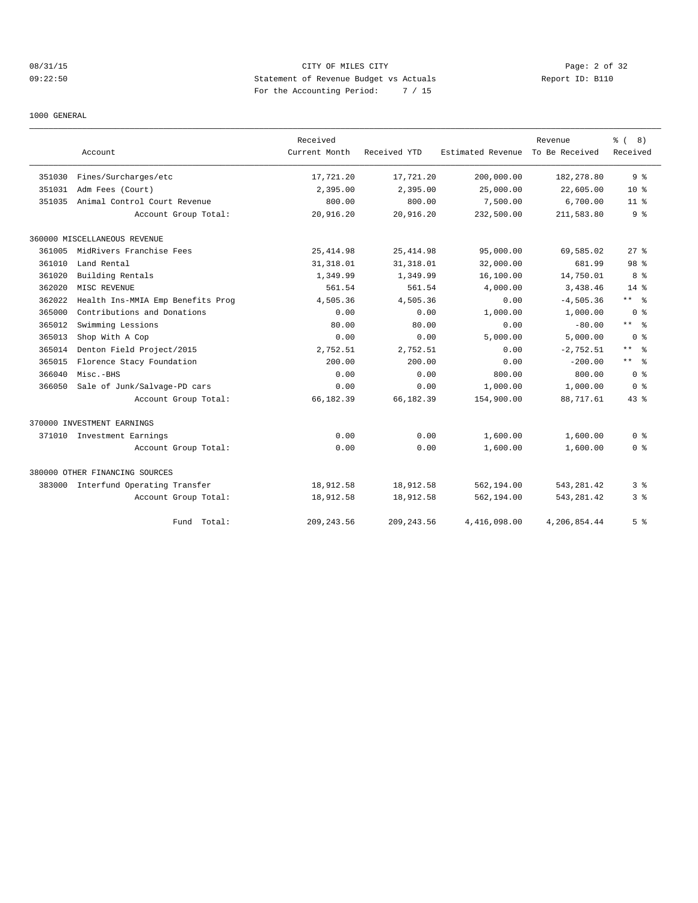# 08/31/15 CITY OF MILES CITY Page: 2 of 32 09:22:50 Statement of Revenue Budget vs Actuals Report ID: B110 For the Accounting Period: 7 / 15

1000 GENERAL

|        |                                     | Received      |              |                   | Revenue        | ී (<br>8)               |
|--------|-------------------------------------|---------------|--------------|-------------------|----------------|-------------------------|
|        | Account                             | Current Month | Received YTD | Estimated Revenue | To Be Received | Received                |
| 351030 | Fines/Surcharges/etc                | 17,721.20     | 17,721.20    | 200,000.00        | 182,278.80     | 9 <sup>8</sup>          |
| 351031 | Adm Fees (Court)                    | 2,395.00      | 2,395.00     | 25,000.00         | 22,605.00      | 10 <sup>8</sup>         |
| 351035 | Animal Control Court Revenue        | 800.00        | 800.00       | 7,500.00          | 6,700.00       | $11$ %                  |
|        | Account Group Total:                | 20,916.20     | 20,916.20    | 232,500.00        | 211,583.80     | 9 <sup>8</sup>          |
|        | 360000 MISCELLANEOUS REVENUE        |               |              |                   |                |                         |
| 361005 | MidRivers Franchise Fees            | 25, 414.98    | 25, 414.98   | 95,000.00         | 69,585.02      | $27$ $%$                |
| 361010 | Land Rental                         | 31, 318.01    | 31, 318.01   | 32,000.00         | 681.99         | 98 <sup>8</sup>         |
| 361020 | Building Rentals                    | 1,349.99      | 1,349.99     | 16,100.00         | 14,750.01      | 8 %                     |
| 362020 | MISC REVENUE                        | 561.54        | 561.54       | 4,000.00          | 3,438.46       | $14*$                   |
| 362022 | Health Ins-MMIA Emp Benefits Prog   | 4,505.36      | 4,505.36     | 0.00              | $-4,505.36$    | ** 왕                    |
| 365000 | Contributions and Donations         | 0.00          | 0.00         | 1,000.00          | 1,000.00       | 0 <sup>8</sup>          |
| 365012 | Swimming Lessions                   | 80.00         | 80.00        | 0.00              | $-80.00$       | $***$ 8                 |
| 365013 | Shop With A Cop                     | 0.00          | 0.00         | 5,000.00          | 5,000.00       | 0 <sup>8</sup>          |
| 365014 | Denton Field Project/2015           | 2,752.51      | 2,752.51     | 0.00              | $-2,752.51$    | $***$ 8                 |
| 365015 | Florence Stacy Foundation           | 200.00        | 200.00       | 0.00              | $-200.00$      | $***$ $=$ $\frac{6}{3}$ |
| 366040 | Misc.-BHS                           | 0.00          | 0.00         | 800.00            | 800.00         | 0 <sup>8</sup>          |
| 366050 | Sale of Junk/Salvage-PD cars        | 0.00          | 0.00         | 1,000.00          | 1,000.00       | 0 <sup>8</sup>          |
|        | Account Group Total:                | 66,182.39     | 66,182.39    | 154,900.00        | 88,717.61      | 43.8                    |
|        | 370000 INVESTMENT EARNINGS          |               |              |                   |                |                         |
|        | 371010 Investment Earnings          | 0.00          | 0.00         | 1,600.00          | 1,600.00       | 0 <sup>8</sup>          |
|        | Account Group Total:                | 0.00          | 0.00         | 1,600.00          | 1,600.00       | 0 <sup>8</sup>          |
|        | 380000 OTHER FINANCING SOURCES      |               |              |                   |                |                         |
|        | 383000 Interfund Operating Transfer | 18,912.58     | 18,912.58    | 562,194.00        | 543, 281.42    | 3 %                     |
|        | Account Group Total:                | 18,912.58     | 18,912.58    | 562,194.00        | 543, 281.42    | 3%                      |
|        | Total:<br>Fund                      | 209, 243.56   | 209, 243.56  | 4,416,098.00      | 4,206,854.44   | 5 %                     |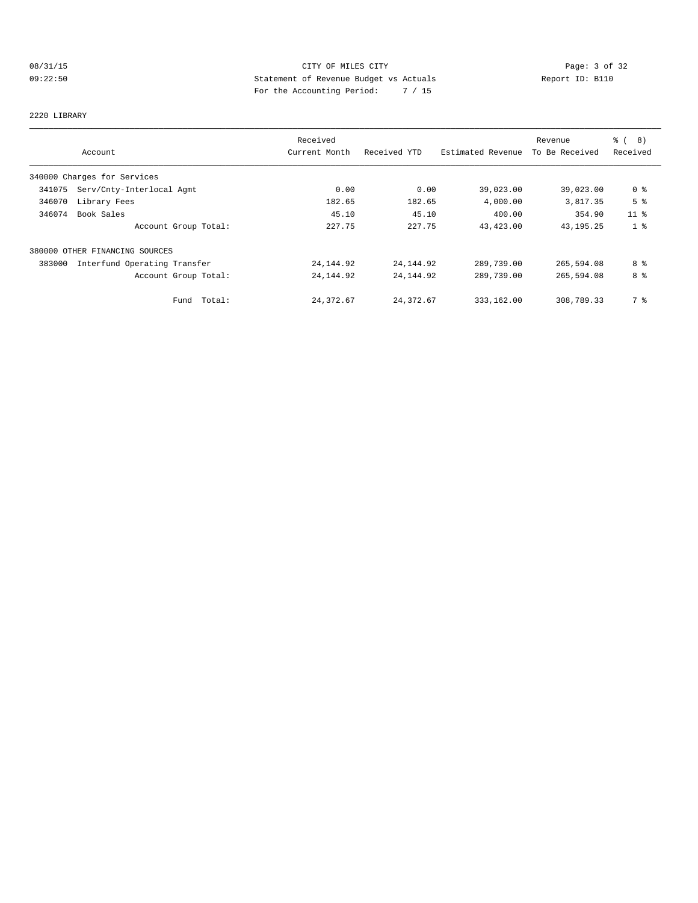# 08/31/15 CITY OF MILES CITY Page: 3 of 32 09:22:50 Statement of Revenue Budget vs Actuals Report ID: B110 For the Accounting Period: 7 / 15

2220 LIBRARY

|        |                                | Received      |              |                   | Revenue        | ී (<br>(8)      |
|--------|--------------------------------|---------------|--------------|-------------------|----------------|-----------------|
|        | Account                        | Current Month | Received YTD | Estimated Revenue | To Be Received | Received        |
|        | 340000 Charges for Services    |               |              |                   |                |                 |
| 341075 | Serv/Cnty-Interlocal Agmt      | 0.00          | 0.00         | 39,023.00         | 39,023.00      | 0 <sub>8</sub>  |
| 346070 | Library Fees                   | 182.65        | 182.65       | 4,000.00          | 3,817.35       | 5 <sup>8</sup>  |
| 346074 | Book Sales                     | 45.10         | 45.10        | 400.00            | 354.90         | 11 <sup>°</sup> |
|        | Account Group Total:           | 227.75        | 227.75       | 43,423.00         | 43, 195. 25    | 1 <sub>8</sub>  |
|        | 380000 OTHER FINANCING SOURCES |               |              |                   |                |                 |
| 383000 | Interfund Operating Transfer   | 24, 144.92    | 24, 144.92   | 289,739.00        | 265,594.08     | 8 %             |
|        | Account Group Total:           | 24, 144.92    | 24, 144.92   | 289,739.00        | 265,594.08     | 8 %             |
|        | Fund Total:                    | 24, 372.67    | 24,372.67    | 333,162.00        | 308,789.33     | 7 %             |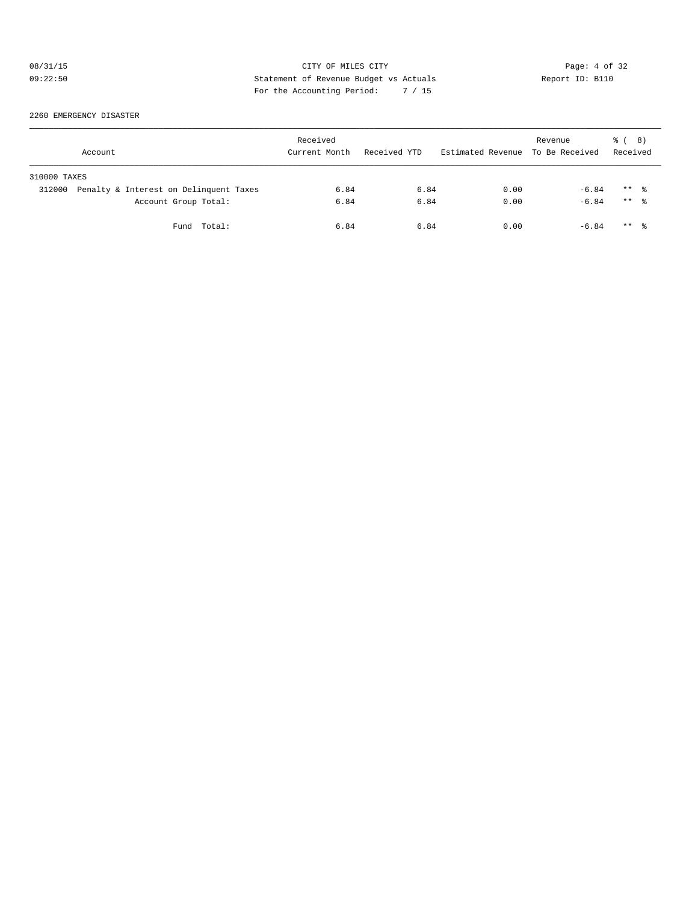# 08/31/15 CITY OF MILES CITY Page: 4 of 32 09:22:50 Statement of Revenue Budget vs Actuals  $R = \frac{1}{2}$  Report ID: B110 For the Accounting Period: 7 / 15

2260 EMERGENCY DISASTER

| Account      |                                        | Received<br>Current Month | Received YTD | Estimated Revenue | Revenue<br>To Be Received | 8)<br>ී (<br>Received |  |
|--------------|----------------------------------------|---------------------------|--------------|-------------------|---------------------------|-----------------------|--|
| 310000 TAXES |                                        |                           |              |                   |                           |                       |  |
| 312000       | Penalty & Interest on Delinquent Taxes | 6.84                      | 6.84         | 0.00              | $-6.84$                   | $***$ $\frac{6}{3}$   |  |
|              | Account Group Total:                   | 6.84                      | 6.84         | 0.00              | $-6.84$                   | $***$ $\frac{6}{6}$   |  |
|              | Fund Total:                            | 6.84                      | 6.84         | 0.00              | $-6.84$                   | $***$ $\frac{6}{3}$   |  |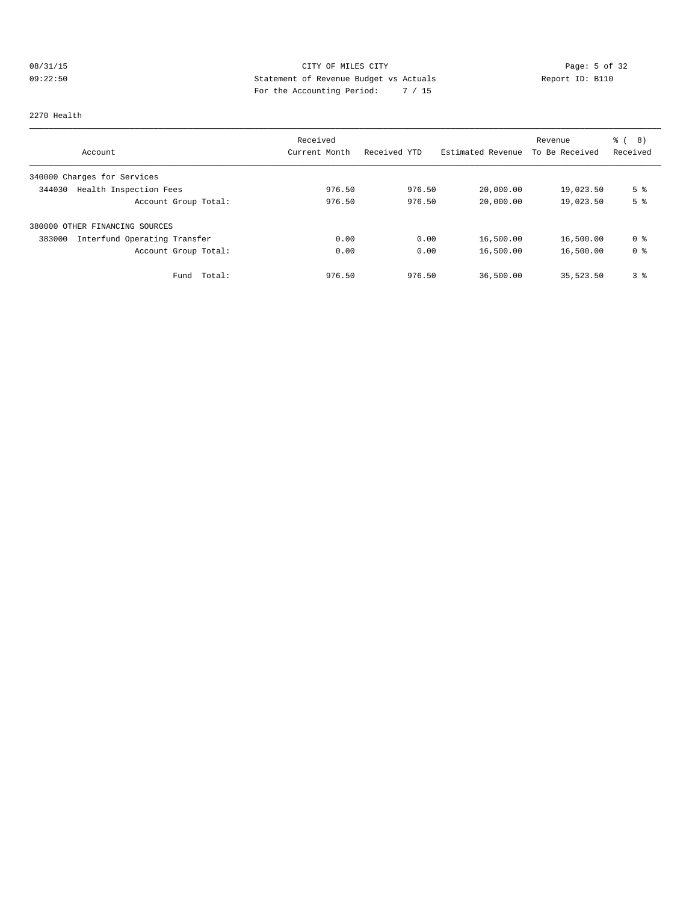# 08/31/15 CITY OF MILES CITY Page: 5 of 32 09:22:50 Statement of Revenue Budget vs Actuals Report ID: B110 For the Accounting Period: 7 / 15

#### 2270 Health

|                                        | Received      |              |                   | Revenue        | ී (<br>8)      |
|----------------------------------------|---------------|--------------|-------------------|----------------|----------------|
| Account                                | Current Month | Received YTD | Estimated Revenue | To Be Received | Received       |
| 340000 Charges for Services            |               |              |                   |                |                |
| Health Inspection Fees<br>344030       | 976.50        | 976.50       | 20,000.00         | 19,023.50      | 5 <sup>°</sup> |
| Account Group Total:                   | 976.50        | 976.50       | 20,000.00         | 19,023.50      | 5 <sup>°</sup> |
| 380000 OTHER FINANCING SOURCES         |               |              |                   |                |                |
| Interfund Operating Transfer<br>383000 | 0.00          | 0.00         | 16,500.00         | 16,500.00      | 0 %            |
| Account Group Total:                   | 0.00          | 0.00         | 16,500.00         | 16,500.00      | 0 <sup>8</sup> |
| Total:<br>Fund                         | 976.50        | 976.50       | 36,500.00         | 35,523.50      | 3 <sup>°</sup> |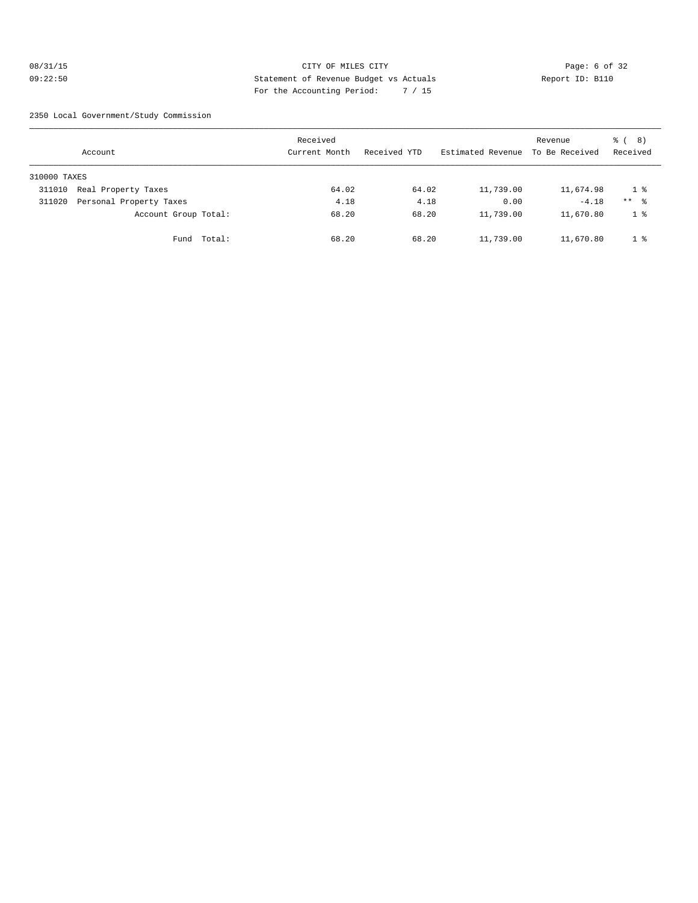#### 08/31/15 CITY OF MILES CITY Page: 6 of 32 09:22:50 Statement of Revenue Budget vs Actuals Report ID: B110 For the Accounting Period: 7 / 15

2350 Local Government/Study Commission

|              | Account                 |             | Received<br>Current Month | Received YTD | Estimated Revenue | Revenue<br>To Be Received | <sub>රී</sub> ( 8 )<br>Received |
|--------------|-------------------------|-------------|---------------------------|--------------|-------------------|---------------------------|---------------------------------|
| 310000 TAXES |                         |             |                           |              |                   |                           |                                 |
| 311010       | Real Property Taxes     |             | 64.02                     | 64.02        | 11,739.00         | 11,674.98                 | 1 <sup>8</sup>                  |
| 311020       | Personal Property Taxes |             | 4.18                      | 4.18         | 0.00              | $-4.18$                   | $***$ %                         |
|              | Account Group Total:    |             | 68.20                     | 68.20        | 11,739.00         | 11,670.80                 | 1 <sup>°</sup>                  |
|              |                         | Fund Total: | 68.20                     | 68.20        | 11,739.00         | 11,670.80                 | 1 <sup>8</sup>                  |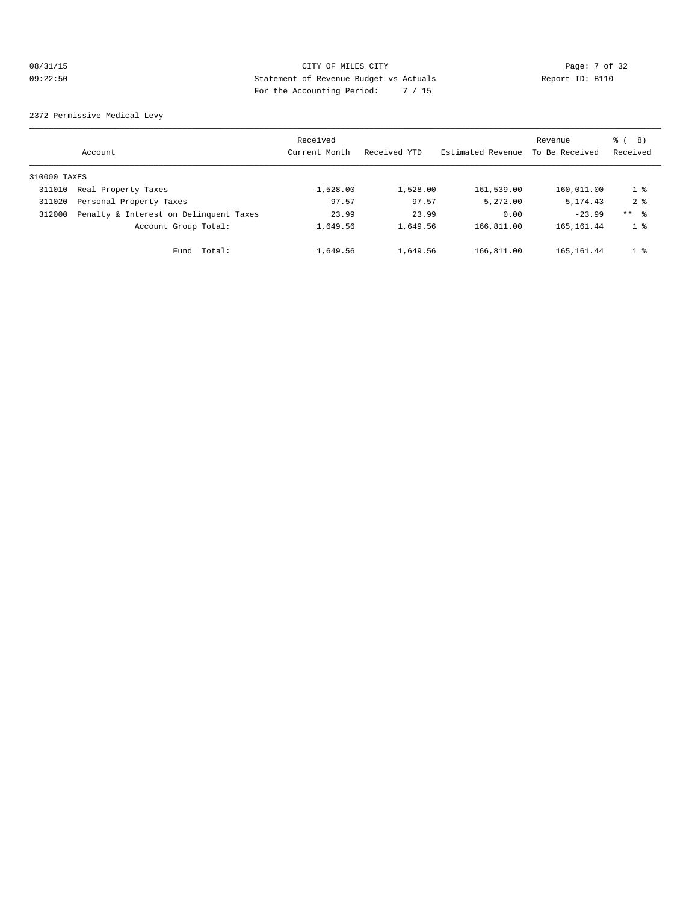# 08/31/15 CITY OF MILES CITY Page: 7 of 32 09:22:50 Statement of Revenue Budget vs Actuals Report ID: B110 For the Accounting Period: 7 / 15

2372 Permissive Medical Levy

|              | Account                                | Received<br>Current Month | Received YTD | Estimated Revenue | Revenue<br>To Be Received | ී ( 8 )<br>Received |
|--------------|----------------------------------------|---------------------------|--------------|-------------------|---------------------------|---------------------|
| 310000 TAXES |                                        |                           |              |                   |                           |                     |
| 311010       | Real Property Taxes                    | 1,528.00                  | 1,528.00     | 161,539.00        | 160,011.00                | $1 \degree$         |
| 311020       | Personal Property Taxes                | 97.57                     | 97.57        | 5,272.00          | 5, 174.43                 | 2 <sup>8</sup>      |
| 312000       | Penalty & Interest on Delinquent Taxes | 23.99                     | 23.99        | 0.00              | $-23.99$                  | $***$ $\approx$     |
|              | Account Group Total:                   | 1,649.56                  | 1,649.56     | 166,811.00        | 165, 161.44               | 1 <sup>8</sup>      |
|              | Total:<br>Fund                         | 1,649.56                  | 1,649.56     | 166,811.00        | 165, 161.44               | $1 \degree$         |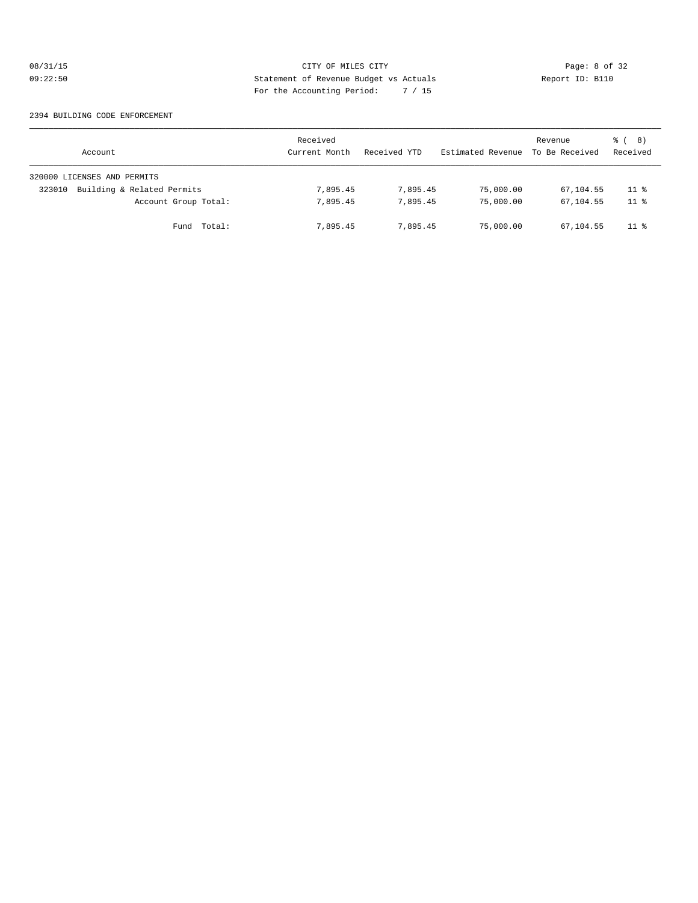# 08/31/15 CITY OF MILES CITY CHES CITY Page: 8 of 32<br>09:22:50 Statement of Revenue Budget vs Actuals Report ID: B110 09:22:50 Statement of Revenue Budget vs Actuals Report ID: B110 For the Accounting Period: 7 / 15

#### 2394 BUILDING CODE ENFORCEMENT

| Account                              | Received<br>Current Month | Received YTD | Estimated Revenue | Revenue<br>To Be Received | <sub>රී</sub> ( 8 )<br>Received |
|--------------------------------------|---------------------------|--------------|-------------------|---------------------------|---------------------------------|
| 320000 LICENSES AND PERMITS          |                           |              |                   |                           |                                 |
| Building & Related Permits<br>323010 | 7,895.45                  | 7,895.45     | 75,000.00         | 67,104.55                 | $11$ %                          |
| Account Group Total:                 | 7,895.45                  | 7,895.45     | 75,000.00         | 67,104.55                 | 11 <sup>8</sup>                 |
| Total:<br>Fund                       | 7,895.45                  | 7,895.45     | 75,000.00         | 67,104.55                 | $11$ %                          |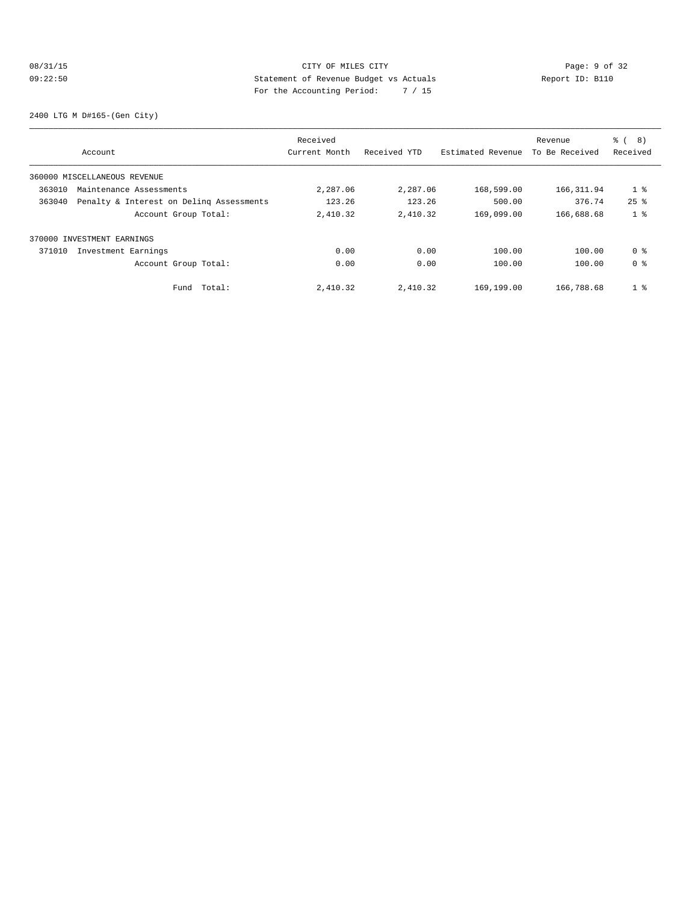# 08/31/15 Page: 9 of 32 09:22:50 Statement of Revenue Budget vs Actuals Report ID: B110 For the Accounting Period: 7 / 15

2400 LTG M D#165-(Gen City)

|        | Account                                  | Received<br>Current Month | Received YTD | Estimated Revenue | Revenue<br>To Be Received | $\approx$ (<br>8)<br>Received |
|--------|------------------------------------------|---------------------------|--------------|-------------------|---------------------------|-------------------------------|
|        |                                          |                           |              |                   |                           |                               |
|        | 360000 MISCELLANEOUS REVENUE             |                           |              |                   |                           |                               |
| 363010 | Maintenance Assessments                  | 2,287.06                  | 2,287.06     | 168,599.00        | 166, 311.94               | 1 <sup>8</sup>                |
| 363040 | Penalty & Interest on Deling Assessments | 123.26                    | 123.26       | 500.00            | 376.74                    | $25$ $%$                      |
|        | Account Group Total:                     | 2,410.32                  | 2,410.32     | 169,099.00        | 166,688.68                | 1 <sup>8</sup>                |
|        | 370000 INVESTMENT EARNINGS               |                           |              |                   |                           |                               |
| 371010 | Investment Earnings                      | 0.00                      | 0.00         | 100.00            | 100.00                    | 0 %                           |
|        | Account Group Total:                     | 0.00                      | 0.00         | 100.00            | 100.00                    | 0 <sup>8</sup>                |
|        | Total:<br>Fund                           | 2,410.32                  | 2,410.32     | 169,199.00        | 166,788.68                | 1 <sup>8</sup>                |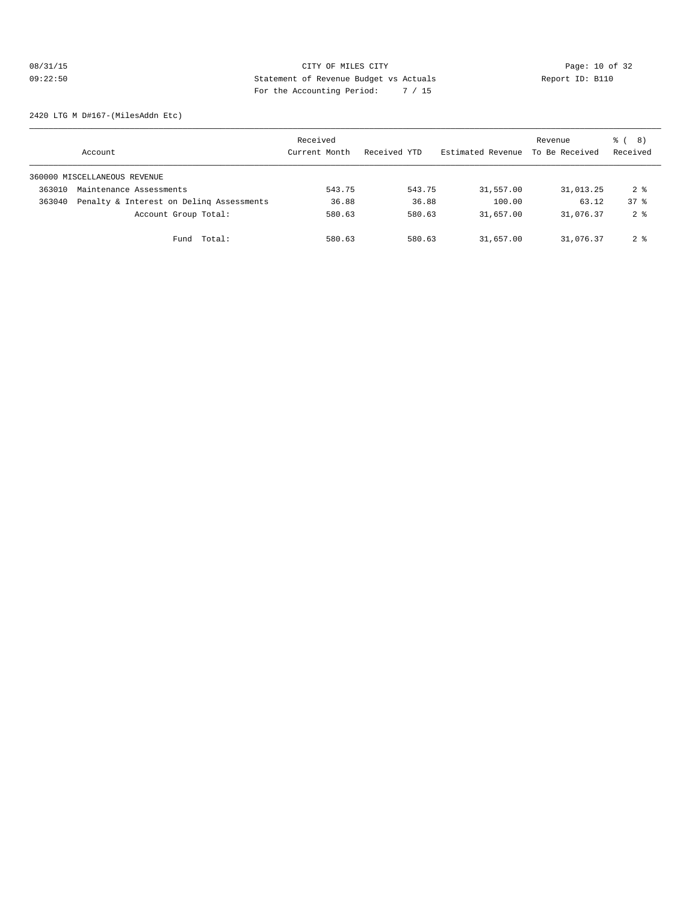# 08/31/15 Page: 10 of 32 09:22:50 Statement of Revenue Budget vs Actuals Report ID: B110 For the Accounting Period: 7 / 15

2420 LTG M D#167-(MilesAddn Etc)

|        | Account                                  | Received<br>Current Month | Received YTD | Estimated Revenue | Revenue<br>To Be Received | <sub>රී</sub> ( 8 )<br>Received |
|--------|------------------------------------------|---------------------------|--------------|-------------------|---------------------------|---------------------------------|
|        | 360000 MISCELLANEOUS REVENUE             |                           |              |                   |                           |                                 |
| 363010 | Maintenance Assessments                  | 543.75                    | 543.75       | 31,557.00         | 31,013.25                 | $2 \text{ }^{\circ}$            |
| 363040 | Penalty & Interest on Deling Assessments | 36.88                     | 36.88        | 100.00            | 63.12                     | 378                             |
|        | Account Group Total:                     | 580.63                    | 580.63       | 31,657.00         | 31,076.37                 | 2 <sup>8</sup>                  |
|        | Fund Total:                              | 580.63                    | 580.63       | 31,657.00         | 31,076.37                 | 2 <sub>8</sub>                  |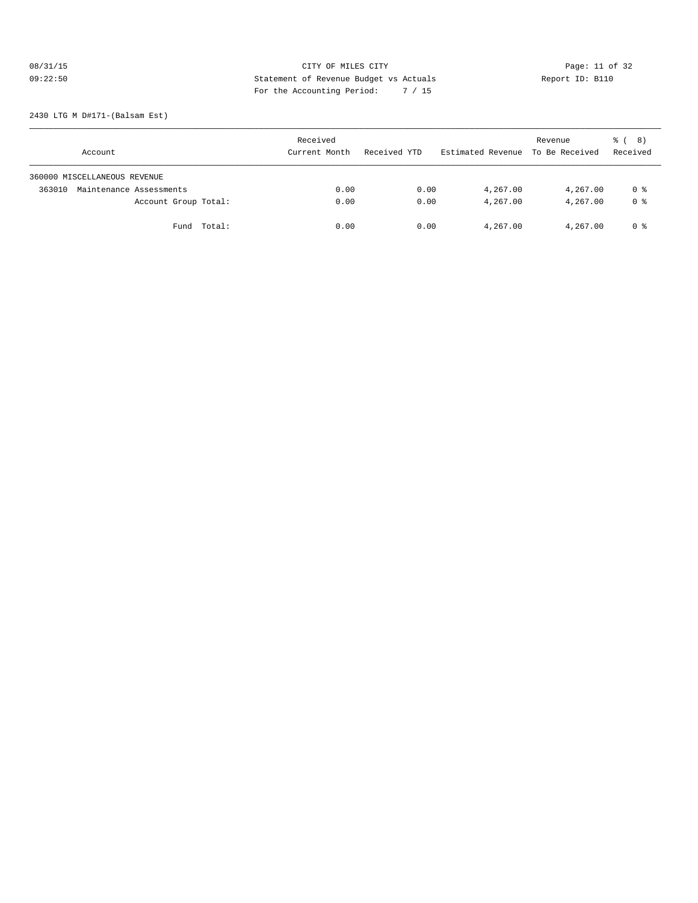# 08/31/15 CITY OF MILES CITY<br>
09:22:50 Page: 11 of 32<br>
Statement of Revenue Budget vs Actuals<br>
Page: 11 of 32<br>
Page: the Accounting Banical and Carlies (15 09:22:50 Statement of Revenue Budget vs Actuals Report ID: B110 For the Accounting Period: 7 / 15

2430 LTG M D#171-(Balsam Est)

| Account                           | Received<br>Current Month | Received YTD | Estimated Revenue To Be Received | Revenue  | ී ( 8 )<br>Received |
|-----------------------------------|---------------------------|--------------|----------------------------------|----------|---------------------|
| 360000 MISCELLANEOUS REVENUE      |                           |              |                                  |          |                     |
| Maintenance Assessments<br>363010 | 0.00                      | 0.00         | 4,267.00                         | 4,267.00 | 0 %                 |
| Account Group Total:              | 0.00                      | 0.00         | 4,267.00                         | 4,267.00 | 0 <sup>8</sup>      |
| Fund Total:                       | 0.00                      | 0.00         | 4,267.00                         | 4,267.00 | 0 %                 |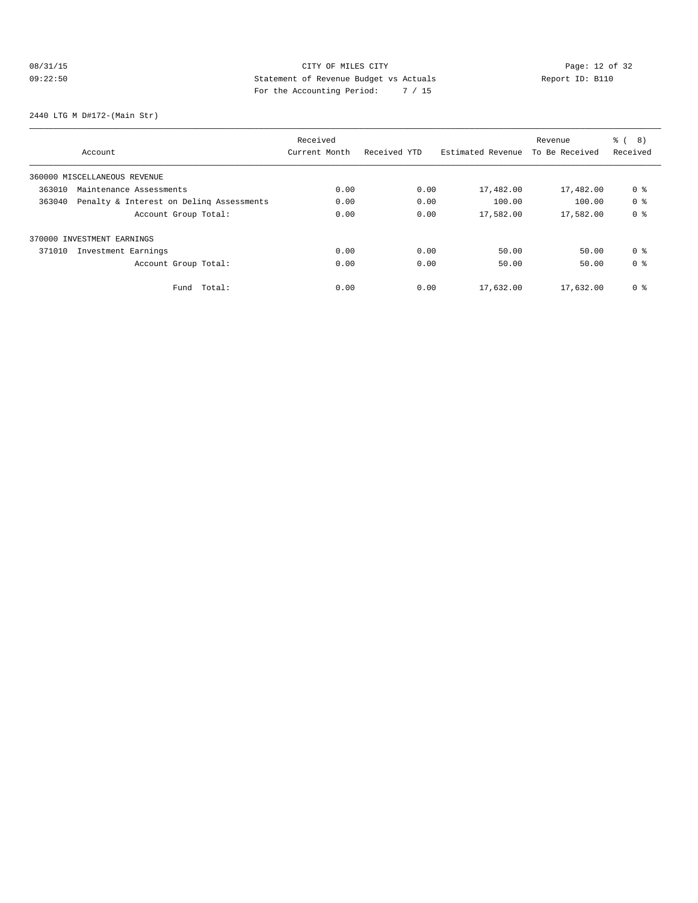# 08/31/15 Page: 12 of 32 09:22:50 Statement of Revenue Budget vs Actuals Report ID: B110 For the Accounting Period: 7 / 15

2440 LTG M D#172-(Main Str)

|                                                    | Received      |              |                   | Revenue        | $\approx$ (<br>8) |
|----------------------------------------------------|---------------|--------------|-------------------|----------------|-------------------|
| Account                                            | Current Month | Received YTD | Estimated Revenue | To Be Received | Received          |
| 360000 MISCELLANEOUS REVENUE                       |               |              |                   |                |                   |
| 363010<br>Maintenance Assessments                  | 0.00          | 0.00         | 17,482.00         | 17,482.00      | 0 <sub>8</sub>    |
| Penalty & Interest on Deling Assessments<br>363040 | 0.00          | 0.00         | 100.00            | 100.00         | 0 <sup>8</sup>    |
| Account Group Total:                               | 0.00          | 0.00         | 17,582.00         | 17,582.00      | 0 <sub>8</sub>    |
| 370000 INVESTMENT EARNINGS                         |               |              |                   |                |                   |
| 371010<br>Investment Earnings                      | 0.00          | 0.00         | 50.00             | 50.00          | 0 <sup>8</sup>    |
| Account Group Total:                               | 0.00          | 0.00         | 50.00             | 50.00          | 0 <sup>8</sup>    |
| Total:<br>Fund                                     | 0.00          | 0.00         | 17,632.00         | 17,632.00      | 0 <sup>8</sup>    |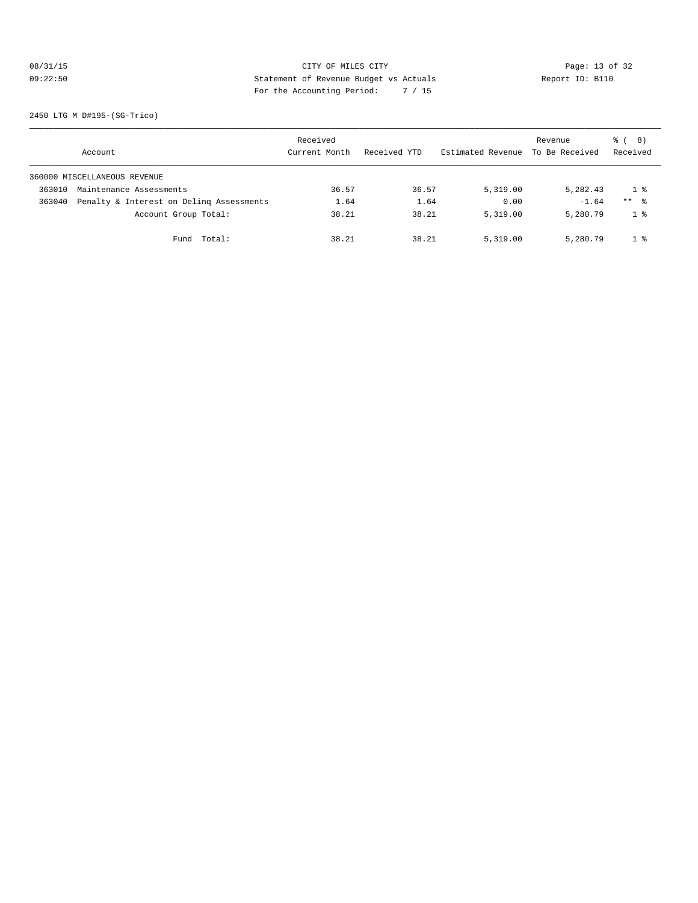# 08/31/15 Page: 13 of 32 09:22:50 Statement of Revenue Budget vs Actuals Report ID: B110 For the Accounting Period: 7 / 15

2450 LTG M D#195-(SG-Trico)

|        | Account                                  | Received<br>Current Month | Received YTD | Estimated Revenue | Revenue<br>To Be Received | <sub>රී</sub> ( 8 )<br>Received |
|--------|------------------------------------------|---------------------------|--------------|-------------------|---------------------------|---------------------------------|
|        | 360000 MISCELLANEOUS REVENUE             |                           |              |                   |                           |                                 |
| 363010 | Maintenance Assessments                  | 36.57                     | 36.57        | 5,319.00          | 5,282.43                  | 1 %                             |
| 363040 | Penalty & Interest on Deling Assessments | 1.64                      | 1.64         | 0.00              | $-1.64$                   | $***$ $\frac{6}{5}$             |
|        | Account Group Total:                     | 38.21                     | 38.21        | 5,319.00          | 5,280.79                  | 1 <sup>8</sup>                  |
|        | Total:<br>Fund                           | 38.21                     | 38.21        | 5,319.00          | 5,280.79                  | 1 <sup>8</sup>                  |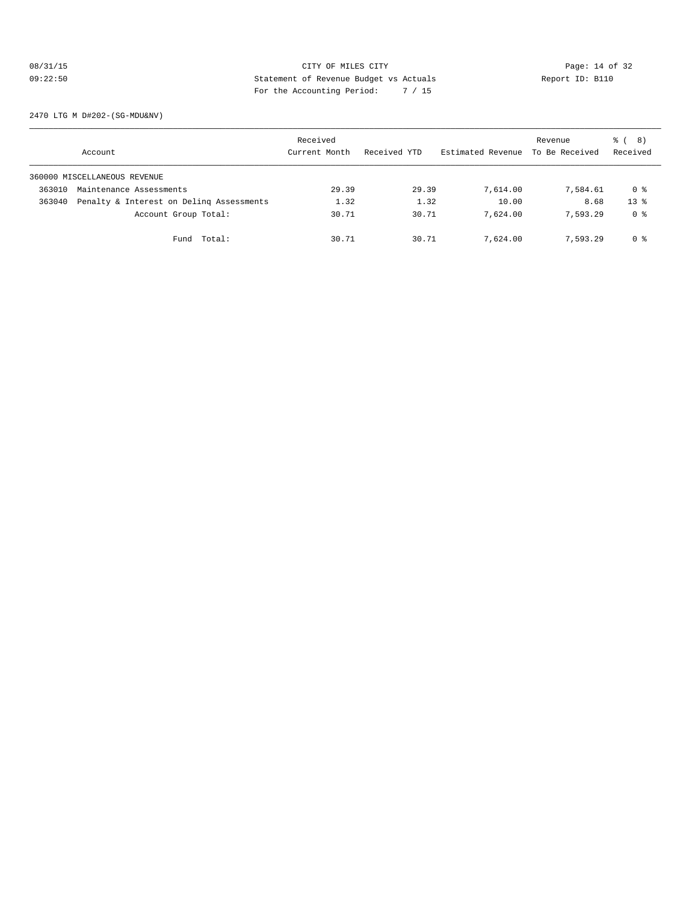# 08/31/15 Page: 14 of 32 09:22:50 Statement of Revenue Budget vs Actuals Report ID: B110 For the Accounting Period: 7 / 15

2470 LTG M D#202-(SG-MDU&NV)

|        | Account                                  | Received<br>Current Month | Received YTD | Estimated Revenue | Revenue<br>To Be Received | <sub>රී</sub> ( 8 )<br>Received |
|--------|------------------------------------------|---------------------------|--------------|-------------------|---------------------------|---------------------------------|
|        | 360000 MISCELLANEOUS REVENUE             |                           |              |                   |                           |                                 |
| 363010 | Maintenance Assessments                  | 29.39                     | 29.39        | 7,614.00          | 7,584.61                  | 0 %                             |
| 363040 | Penalty & Interest on Deling Assessments | 1.32                      | 1.32         | 10.00             | 8.68                      | $13*$                           |
|        | Account Group Total:                     | 30.71                     | 30.71        | 7,624.00          | 7.593.29                  | 0 %                             |
|        | Fund Total:                              | 30.71                     | 30.71        | 7,624.00          | 7,593.29                  | 0 %                             |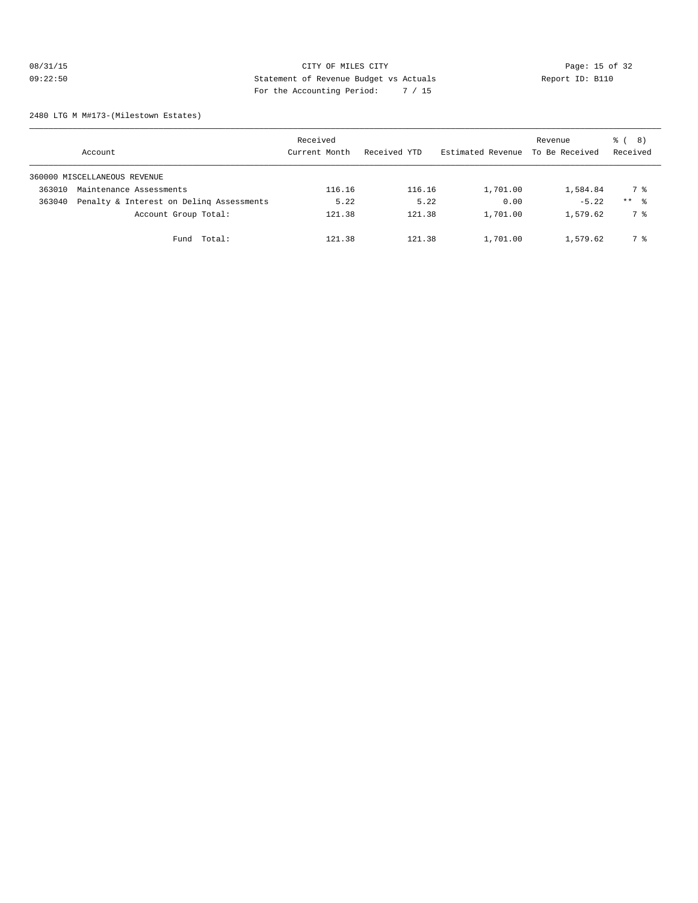# 08/31/15 Page: 15 of 32 09:22:50 Statement of Revenue Budget vs Actuals Report ID: B110 For the Accounting Period: 7 / 15

2480 LTG M M#173-(Milestown Estates)

|        | Account                                  | Received<br>Current Month | Received YTD | Estimated Revenue | Revenue<br>To Be Received | <sub>රී</sub> ( 8 )<br>Received |
|--------|------------------------------------------|---------------------------|--------------|-------------------|---------------------------|---------------------------------|
|        | 360000 MISCELLANEOUS REVENUE             |                           |              |                   |                           |                                 |
| 363010 | Maintenance Assessments                  | 116.16                    | 116.16       | 1,701.00          | 1,584.84                  | 7 %                             |
| 363040 | Penalty & Interest on Deling Assessments | 5.22                      | 5.22         | 0.00              | $-5.22$                   | $***$ $\frac{6}{3}$             |
|        | Account Group Total:                     | 121.38                    | 121.38       | 1,701.00          | 1,579.62                  | 7 %                             |
|        | Total:<br>Fund                           | 121.38                    | 121.38       | 1,701.00          | 1,579.62                  | 7 %                             |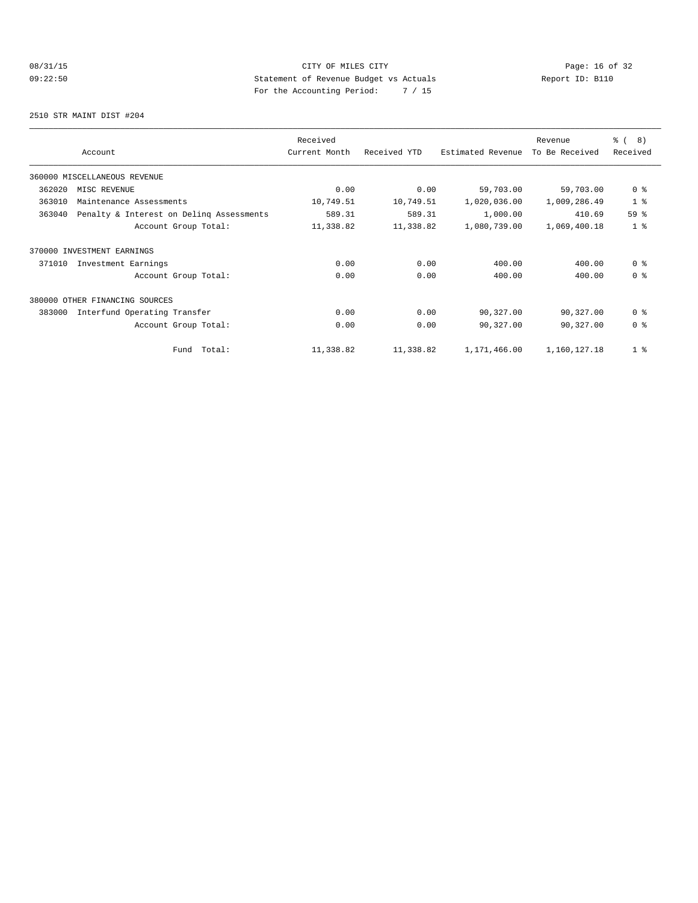# 08/31/15 Page: 16 of 32 09:22:50 Statement of Revenue Budget vs Actuals  $\sum_{n=1}^{\infty}$  Report ID: B110 For the Accounting Period: 7 / 15

2510 STR MAINT DIST #204

|        |                                          | Received      |              |                   | Revenue        | ී (<br>8)      |
|--------|------------------------------------------|---------------|--------------|-------------------|----------------|----------------|
|        | Account                                  | Current Month | Received YTD | Estimated Revenue | To Be Received | Received       |
|        | 360000 MISCELLANEOUS REVENUE             |               |              |                   |                |                |
| 362020 | MISC REVENUE                             | 0.00          | 0.00         | 59,703.00         | 59,703.00      | 0 <sup>8</sup> |
| 363010 | Maintenance Assessments                  | 10,749.51     | 10,749.51    | 1,020,036.00      | 1,009,286.49   | 1 <sup>8</sup> |
| 363040 | Penalty & Interest on Deling Assessments | 589.31        | 589.31       | 1,000.00          | 410.69         | 59 %           |
|        | Account Group Total:                     | 11,338.82     | 11,338.82    | 1,080,739.00      | 1,069,400.18   | 1 <sup>°</sup> |
|        | 370000 INVESTMENT EARNINGS               |               |              |                   |                |                |
| 371010 | Investment Earnings                      | 0.00          | 0.00         | 400.00            | 400.00         | 0 <sup>8</sup> |
|        | Account Group Total:                     | 0.00          | 0.00         | 400.00            | 400.00         | 0 <sup>8</sup> |
|        | 380000 OTHER FINANCING SOURCES           |               |              |                   |                |                |
| 383000 | Interfund Operating Transfer             | 0.00          | 0.00         | 90,327.00         | 90,327.00      | 0 <sup>8</sup> |
|        | Account Group Total:                     | 0.00          | 0.00         | 90,327.00         | 90,327.00      | 0 <sup>8</sup> |
|        | Fund Total:                              | 11,338.82     | 11,338.82    | 1,171,466.00      | 1,160,127.18   | 1 <sup>°</sup> |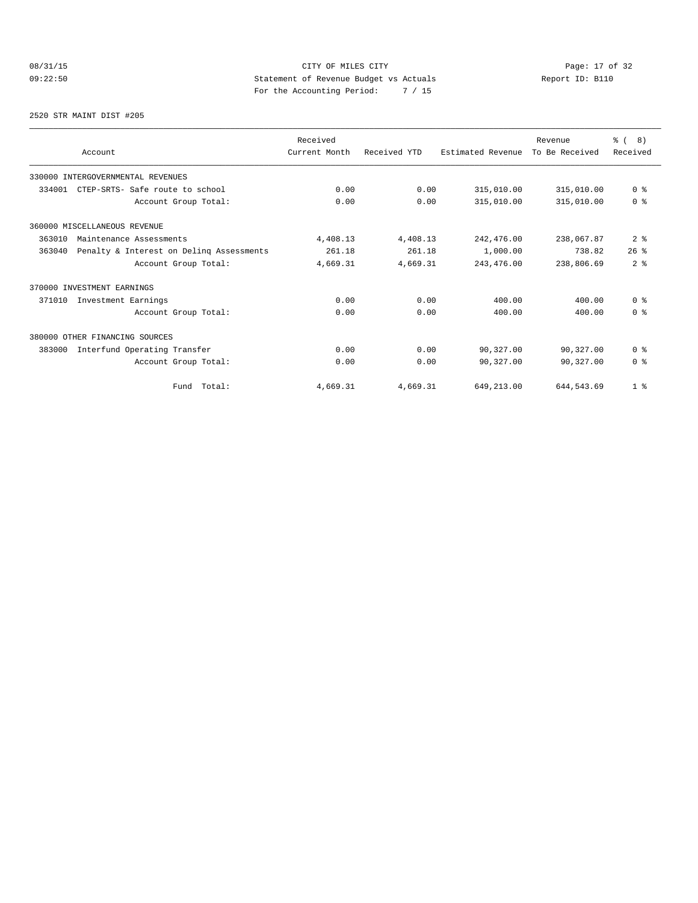# 08/31/15 Page: 17 of 32 09:22:50 Statement of Revenue Budget vs Actuals Report ID: B110 For the Accounting Period: 7 / 15

2520 STR MAINT DIST #205

| Account                                            | Received<br>Current Month | Received YTD | Estimated Revenue | Revenue<br>To Be Received | $\frac{6}{6}$ ( 8)<br>Received |
|----------------------------------------------------|---------------------------|--------------|-------------------|---------------------------|--------------------------------|
| 330000 INTERGOVERNMENTAL REVENUES                  |                           |              |                   |                           |                                |
| CTEP-SRTS- Safe route to school<br>334001          | 0.00                      | 0.00         | 315,010.00        | 315,010.00                | 0 <sup>8</sup>                 |
| Account Group Total:                               | 0.00                      | 0.00         | 315,010.00        | 315,010.00                | 0 <sup>8</sup>                 |
| 360000 MISCELLANEOUS REVENUE                       |                           |              |                   |                           |                                |
| 363010<br>Maintenance Assessments                  | 4,408.13                  | 4,408.13     | 242,476.00        | 238,067.87                | 2 <sub>8</sub>                 |
| 363040<br>Penalty & Interest on Deling Assessments | 261.18                    | 261.18       | 1,000.00          | 738.82                    | 26%                            |
| Account Group Total:                               | 4,669.31                  | 4,669.31     | 243, 476.00       | 238,806.69                | 2 <sup>8</sup>                 |
| 370000 INVESTMENT EARNINGS                         |                           |              |                   |                           |                                |
| 371010<br>Investment Earnings                      | 0.00                      | 0.00         | 400.00            | 400.00                    | 0 <sup>8</sup>                 |
| Account Group Total:                               | 0.00                      | 0.00         | 400.00            | 400.00                    | 0 <sup>8</sup>                 |
| 380000 OTHER FINANCING SOURCES                     |                           |              |                   |                           |                                |
| Interfund Operating Transfer<br>383000             | 0.00                      | 0.00         | 90,327.00         | 90,327.00                 | 0 <sup>8</sup>                 |
| Account Group Total:                               | 0.00                      | 0.00         | 90,327.00         | 90,327.00                 | $0 \text{ }$ $\text{ }$        |
| Fund Total:                                        | 4,669.31                  | 4,669.31     | 649, 213.00       | 644, 543.69               | 1 <sup>8</sup>                 |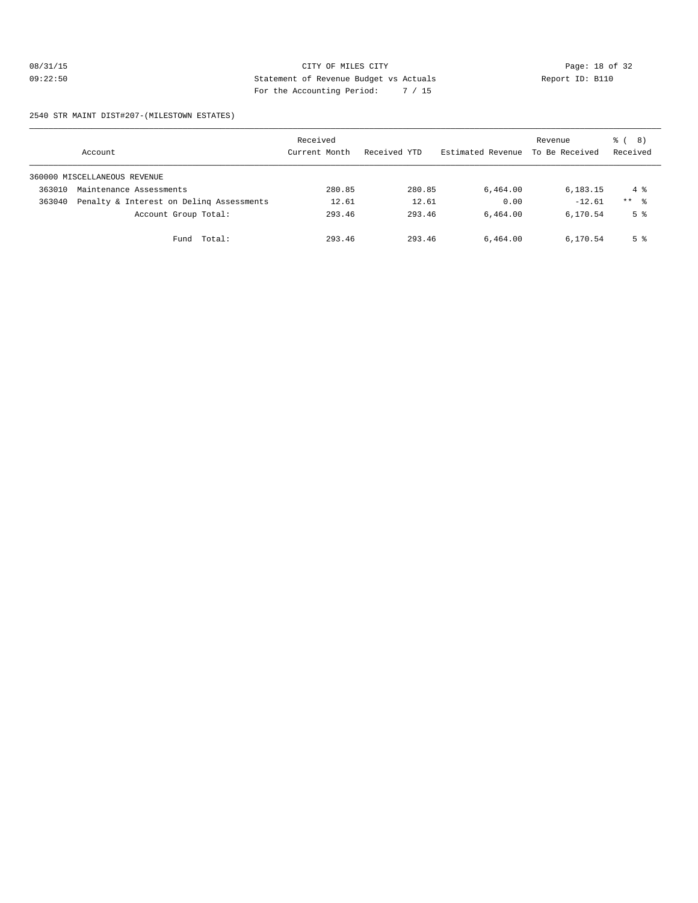# 08/31/15 **Page: 18 of 32** CITY OF MILES CITY **CITY Page: 18 of 32** 09:22:50 Statement of Revenue Budget vs Actuals Report ID: B110 For the Accounting Period: 7 / 15

#### 2540 STR MAINT DIST#207-(MILESTOWN ESTATES)

|        | Account                                  | Received<br>Current Month | Received YTD | Estimated Revenue | Revenue<br>To Be Received | <sub>රී</sub> ( 8 )<br>Received |
|--------|------------------------------------------|---------------------------|--------------|-------------------|---------------------------|---------------------------------|
|        | 360000 MISCELLANEOUS REVENUE             |                           |              |                   |                           |                                 |
| 363010 | Maintenance Assessments                  | 280.85                    | 280.85       | 6,464.00          | 6,183.15                  | $4\degree$                      |
| 363040 | Penalty & Interest on Deling Assessments | 12.61                     | 12.61        | 0.00              | $-12.61$                  | $***$ $\frac{6}{6}$             |
|        | Account Group Total:                     | 293.46                    | 293.46       | 6,464.00          | 6,170.54                  | 5 <sup>8</sup>                  |
|        | Fund Total:                              | 293.46                    | 293.46       | 6,464.00          | 6,170.54                  | 5 %                             |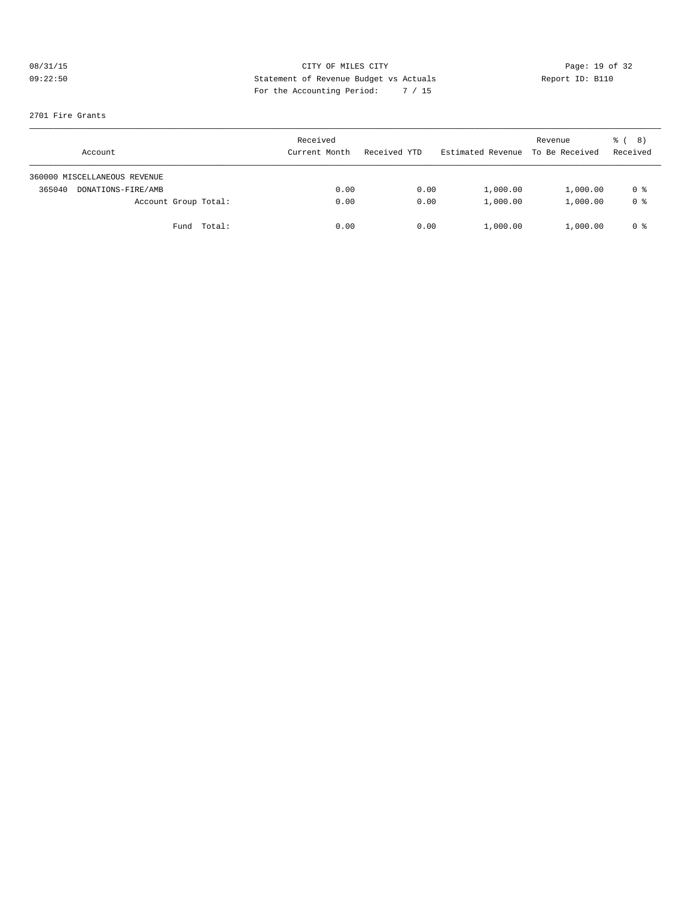# 08/31/15 **Page: 19 of 32** CITY OF MILES CITY **CITY Page: 19 of 32** 09:22:50 Statement of Revenue Budget vs Actuals Report ID: B110 For the Accounting Period: 7 / 15

#### 2701 Fire Grants

| Account                      | Received<br>Current Month | Received YTD | Estimated Revenue | Revenue<br>To Be Received | 8)<br>ී (<br>Received |
|------------------------------|---------------------------|--------------|-------------------|---------------------------|-----------------------|
| 360000 MISCELLANEOUS REVENUE |                           |              |                   |                           |                       |
| 365040<br>DONATIONS-FIRE/AMB | 0.00                      | 0.00         | 1,000.00          | 1,000.00                  | 0 %                   |
| Account Group Total:         | 0.00                      | 0.00         | 1,000.00          | 1,000.00                  | 0 <sup>8</sup>        |
| Fund Total:                  | 0.00                      | 0.00         | 1,000.00          | 1,000.00                  | 0 %                   |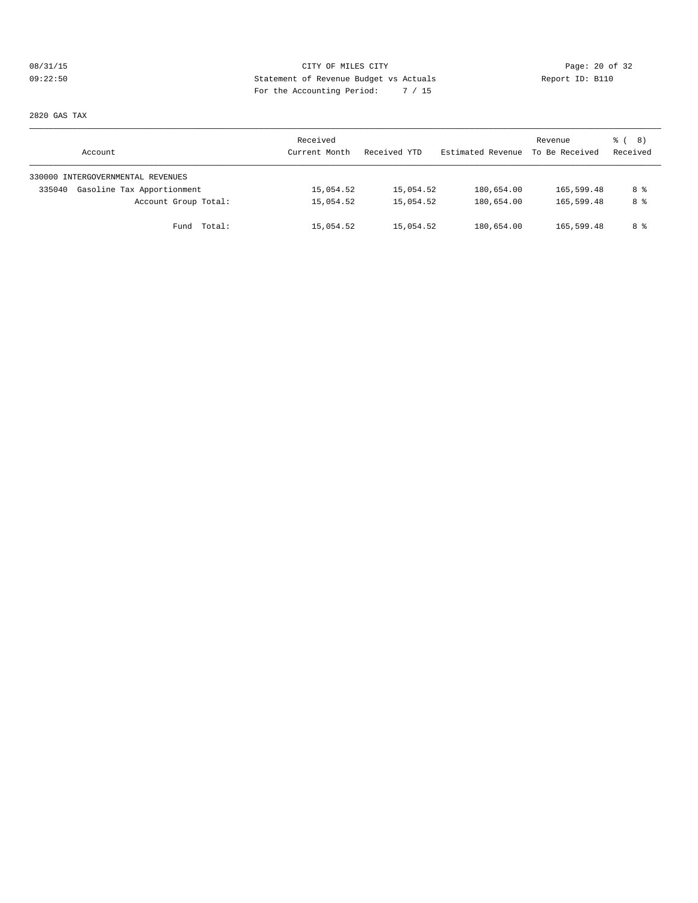# 08/31/15 CITY OF MILES CITY Page: 20 of 32 09:22:50 Statement of Revenue Budget vs Actuals Report ID: B110 For the Accounting Period: 7 / 15

2820 GAS TAX

| Account                              | Received<br>Current Month | Received YTD | Estimated Revenue | Revenue<br>To Be Received | <sub>රී</sub> ( 8 )<br>Received |
|--------------------------------------|---------------------------|--------------|-------------------|---------------------------|---------------------------------|
| 330000 INTERGOVERNMENTAL REVENUES    |                           |              |                   |                           |                                 |
| Gasoline Tax Apportionment<br>335040 | 15,054.52                 | 15,054.52    | 180,654.00        | 165,599.48                | 8 %                             |
| Account Group Total:                 | 15,054.52                 | 15,054.52    | 180,654.00        | 165,599.48                | 8 %                             |
| Fund Total:                          | 15,054.52                 | 15,054.52    | 180,654.00        | 165,599.48                | 8 %                             |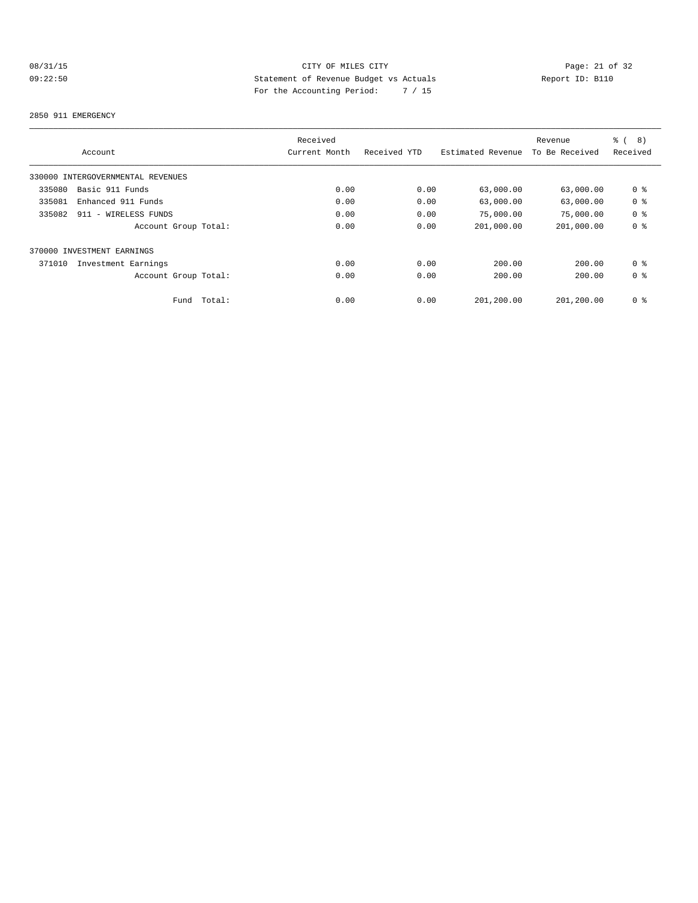# 08/31/15 Page: 21 of 32 09:22:50 Statement of Revenue Budget vs Actuals Report ID: B110 For the Accounting Period: 7 / 15

#### 2850 911 EMERGENCY

|                                   |        | Received      |              |                   | Revenue        | $\frac{6}{6}$<br>8) |
|-----------------------------------|--------|---------------|--------------|-------------------|----------------|---------------------|
| Account                           |        | Current Month | Received YTD | Estimated Revenue | To Be Received | Received            |
| 330000 INTERGOVERNMENTAL REVENUES |        |               |              |                   |                |                     |
| Basic 911 Funds<br>335080         |        | 0.00          | 0.00         | 63,000.00         | 63,000.00      | 0 <sub>8</sub>      |
| 335081<br>Enhanced 911 Funds      |        | 0.00          | 0.00         | 63,000.00         | 63,000.00      | 0 <sub>8</sub>      |
| 335082<br>911 - WIRELESS FUNDS    |        | 0.00          | 0.00         | 75,000.00         | 75,000.00      | 0 <sup>8</sup>      |
| Account Group Total:              |        | 0.00          | 0.00         | 201,000.00        | 201,000.00     | 0 <sub>8</sub>      |
| 370000 INVESTMENT EARNINGS        |        |               |              |                   |                |                     |
| 371010<br>Investment Earnings     |        | 0.00          | 0.00         | 200.00            | 200.00         | 0 <sup>8</sup>      |
| Account Group Total:              |        | 0.00          | 0.00         | 200.00            | 200.00         | 0 <sup>8</sup>      |
| Fund                              | Total: | 0.00          | 0.00         | 201,200.00        | 201,200.00     | 0 <sub>8</sub>      |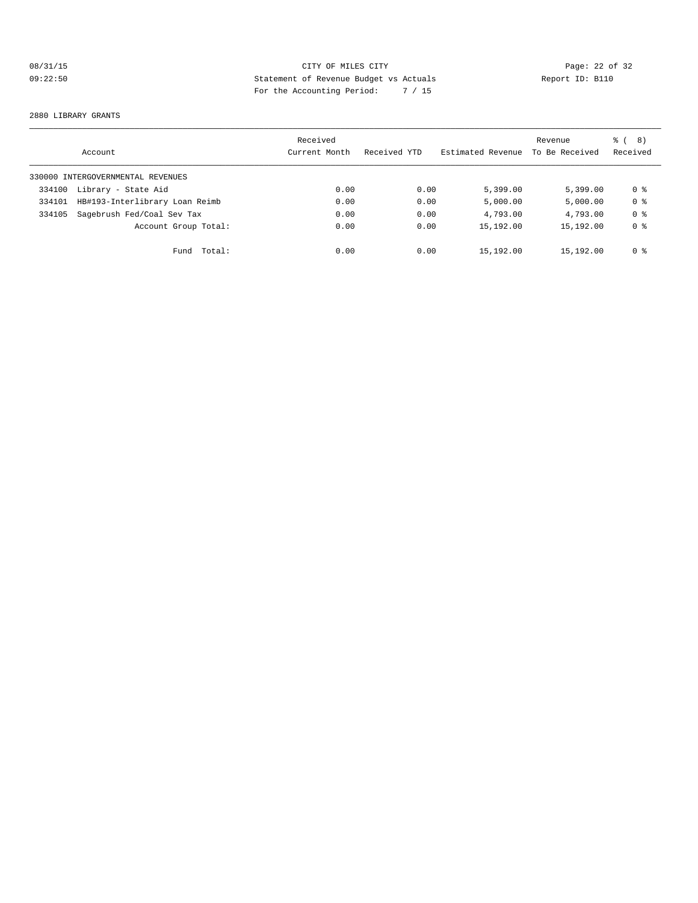# 08/31/15 Page: 22 of 32 09:22:50 Statement of Revenue Budget vs Actuals Report ID: B110 For the Accounting Period: 7 / 15

#### 2880 LIBRARY GRANTS

|        | Account                           | Received<br>Current Month | Received YTD | Estimated Revenue | Revenue<br>To Be Received | 8)<br>ී (<br>Received |
|--------|-----------------------------------|---------------------------|--------------|-------------------|---------------------------|-----------------------|
|        | 330000 INTERGOVERNMENTAL REVENUES |                           |              |                   |                           |                       |
| 334100 | Library - State Aid               | 0.00                      | 0.00         | 5,399.00          | 5.399.00                  | 0 %                   |
| 334101 | HB#193-Interlibrary Loan Reimb    | 0.00                      | 0.00         | 5,000.00          | 5,000.00                  | 0 <sup>8</sup>        |
| 334105 | Sagebrush Fed/Coal Sev Tax        | 0.00                      | 0.00         | 4,793.00          | 4,793.00                  | 0 <sub>8</sub>        |
|        | Account Group Total:              | 0.00                      | 0.00         | 15,192.00         | 15,192.00                 | 0 <sub>8</sub>        |
|        | Total:<br>Fund                    | 0.00                      | 0.00         | 15,192.00         | 15,192.00                 | 0 %                   |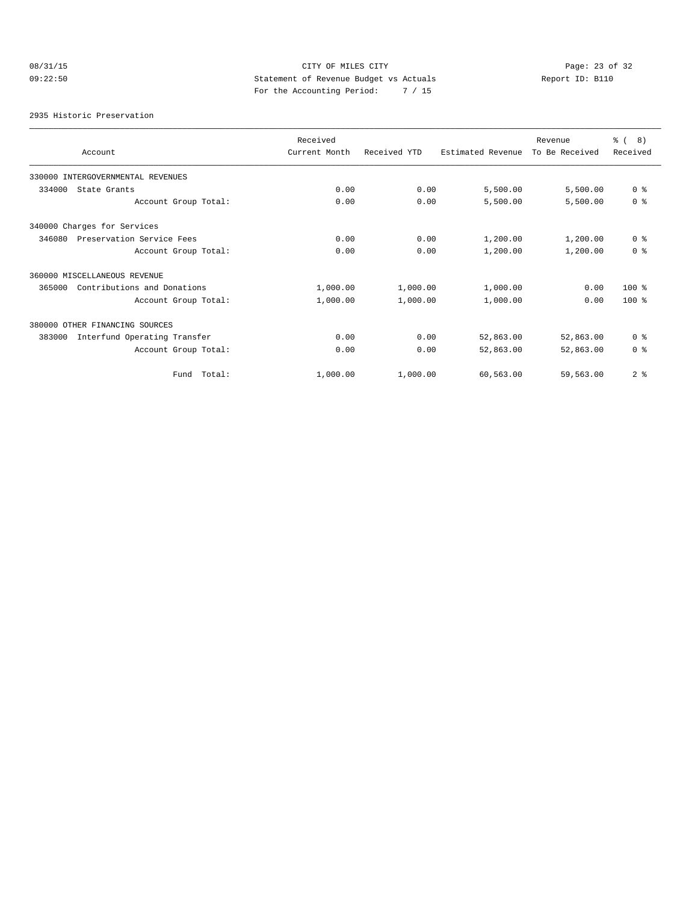# 08/31/15 Page: 23 of 32 09:22:50 Statement of Revenue Budget vs Actuals Report ID: B110 For the Accounting Period: 7 / 15

2935 Historic Preservation

| Account                                | Received<br>Current Month | Received YTD | Estimated Revenue | Revenue<br>To Be Received | <b>%</b> (<br>8)<br>Received |
|----------------------------------------|---------------------------|--------------|-------------------|---------------------------|------------------------------|
| 330000 INTERGOVERNMENTAL REVENUES      |                           |              |                   |                           |                              |
| 334000<br>State Grants                 | 0.00                      | 0.00         | 5,500.00          | 5,500.00                  | 0 <sup>8</sup>               |
| Account Group Total:                   | 0.00                      | 0.00         | 5,500.00          | 5,500.00                  | 0 <sup>8</sup>               |
| 340000 Charges for Services            |                           |              |                   |                           |                              |
| Preservation Service Fees<br>346080    | 0.00                      | 0.00         | 1,200.00          | 1,200.00                  | 0 <sup>8</sup>               |
| Account Group Total:                   | 0.00                      | 0.00         | 1,200.00          | 1,200.00                  | 0 <sup>8</sup>               |
| 360000 MISCELLANEOUS REVENUE           |                           |              |                   |                           |                              |
| Contributions and Donations<br>365000  | 1,000.00                  | 1,000.00     | 1,000.00          | 0.00                      | $100*$                       |
| Account Group Total:                   | 1,000.00                  | 1,000.00     | 1,000.00          | 0.00                      | $100*$                       |
| 380000 OTHER FINANCING SOURCES         |                           |              |                   |                           |                              |
| 383000<br>Interfund Operating Transfer | 0.00                      | 0.00         | 52,863.00         | 52,863.00                 | 0 <sup>8</sup>               |
| Account Group Total:                   | 0.00                      | 0.00         | 52,863.00         | 52,863.00                 | 0 <sup>8</sup>               |
| Total:<br>Fund                         | 1,000.00                  | 1,000.00     | 60,563.00         | 59,563.00                 | 2 <sup>8</sup>               |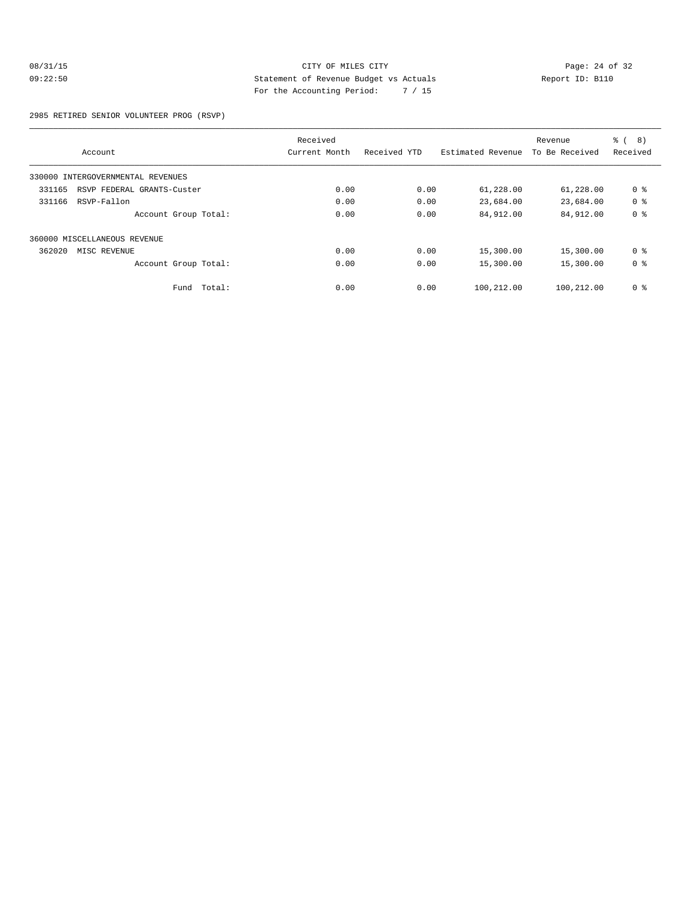# 08/31/15 Page: 24 of 32 09:22:50 Statement of Revenue Budget vs Actuals Report ID: B110 For the Accounting Period: 7 / 15

2985 RETIRED SENIOR VOLUNTEER PROG (RSVP)

|                                      | Received      |              |                   | Revenue        | <b>%</b> (<br>8) |
|--------------------------------------|---------------|--------------|-------------------|----------------|------------------|
| Account                              | Current Month | Received YTD | Estimated Revenue | To Be Received | Received         |
| 330000 INTERGOVERNMENTAL REVENUES    |               |              |                   |                |                  |
| 331165<br>RSVP FEDERAL GRANTS-Custer | 0.00          | 0.00         | 61,228.00         | 61,228.00      | 0 <sub>8</sub>   |
| 331166<br>RSVP-Fallon                | 0.00          | 0.00         | 23,684.00         | 23,684.00      | 0 <sub>8</sub>   |
| Account Group Total:                 | 0.00          | 0.00         | 84,912.00         | 84,912.00      | 0 <sub>8</sub>   |
| 360000 MISCELLANEOUS REVENUE         |               |              |                   |                |                  |
| 362020<br>MISC REVENUE               | 0.00          | 0.00         | 15,300.00         | 15,300.00      | 0 <sup>8</sup>   |
| Account Group Total:                 | 0.00          | 0.00         | 15,300.00         | 15,300.00      | 0 <sub>8</sub>   |
| Fund Total:                          | 0.00          | 0.00         | 100,212.00        | 100,212.00     | 0 <sup>8</sup>   |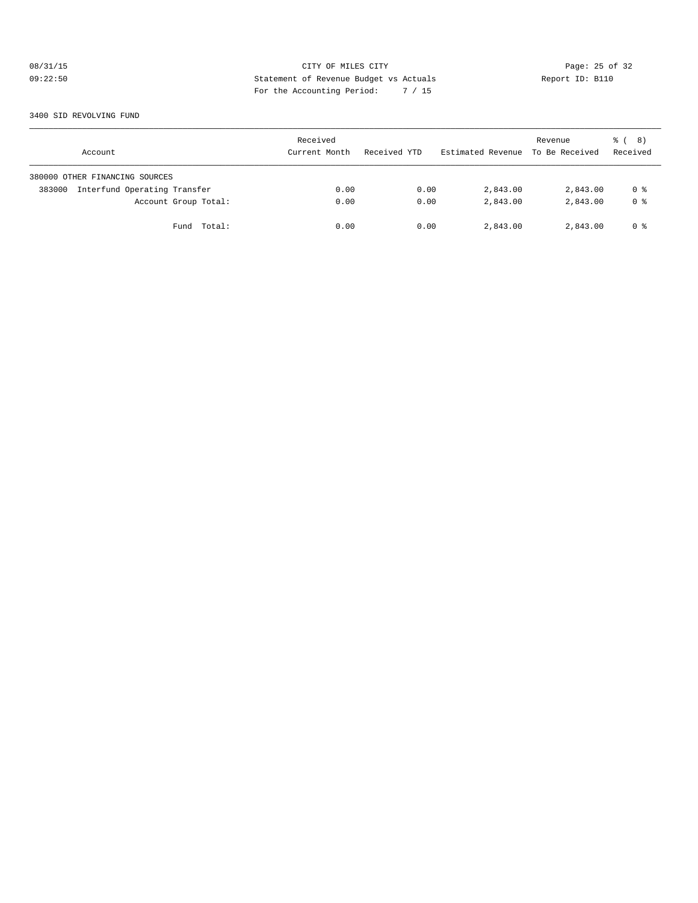# 08/31/15 **Page: 25 of 32** CITY OF MILES CITY **CITY Page: 25 of 32** 09:22:50 Statement of Revenue Budget vs Actuals Report ID: B110 For the Accounting Period: 7 / 15

3400 SID REVOLVING FUND

| Account                                | Received<br>Current Month | Received YTD | Estimated Revenue To Be Received | Revenue  | ී ( 8 )<br>Received |
|----------------------------------------|---------------------------|--------------|----------------------------------|----------|---------------------|
| 380000 OTHER FINANCING SOURCES         |                           |              |                                  |          |                     |
| Interfund Operating Transfer<br>383000 | 0.00                      | 0.00         | 2,843.00                         | 2,843.00 | 0 %                 |
| Account Group Total:                   | 0.00                      | 0.00         | 2,843.00                         | 2,843.00 | 0 <sup>8</sup>      |
| Total:<br>Fund                         | 0.00                      | 0.00         | 2,843.00                         | 2,843.00 | 0 %                 |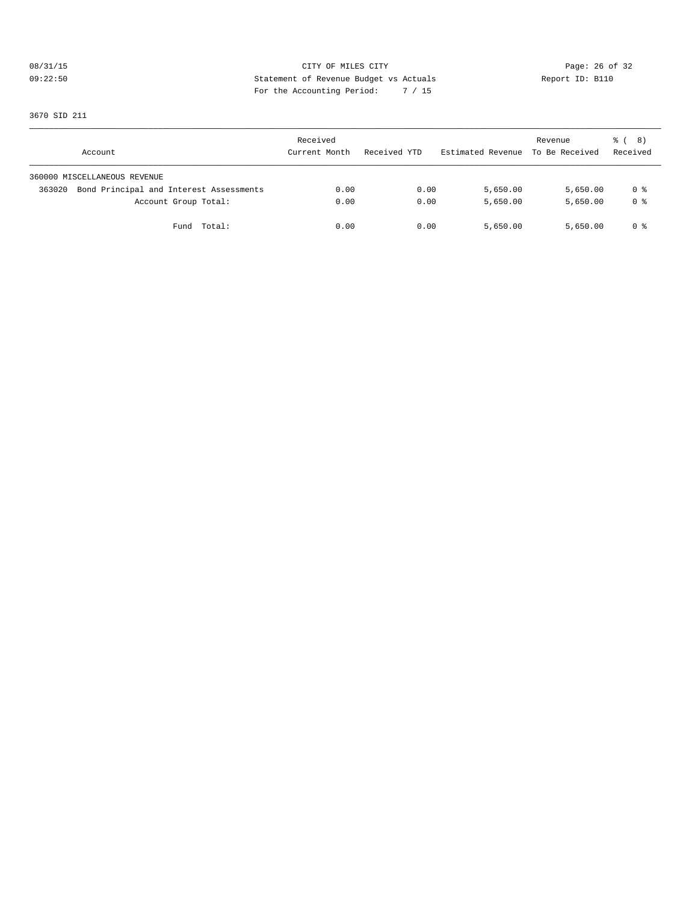# 08/31/15 Page: 26 of 32 09:22:50 Statement of Revenue Budget vs Actuals Report ID: B110 For the Accounting Period: 7 / 15

3670 SID 211

| Account                                           | Received<br>Current Month | Received YTD | Estimated Revenue | Revenue<br>To Be Received | <sub>රී</sub> ( 8 )<br>Received |
|---------------------------------------------------|---------------------------|--------------|-------------------|---------------------------|---------------------------------|
| 360000 MISCELLANEOUS REVENUE                      |                           |              |                   |                           |                                 |
| Bond Principal and Interest Assessments<br>363020 | 0.00                      | 0.00         | 5,650.00          | 5,650.00                  | 0 %                             |
| Account Group Total:                              | 0.00                      | 0.00         | 5,650.00          | 5,650.00                  | 0 <sup>8</sup>                  |
| Fund Total:                                       | 0.00                      | 0.00         | 5,650.00          | 5,650.00                  | 0 %                             |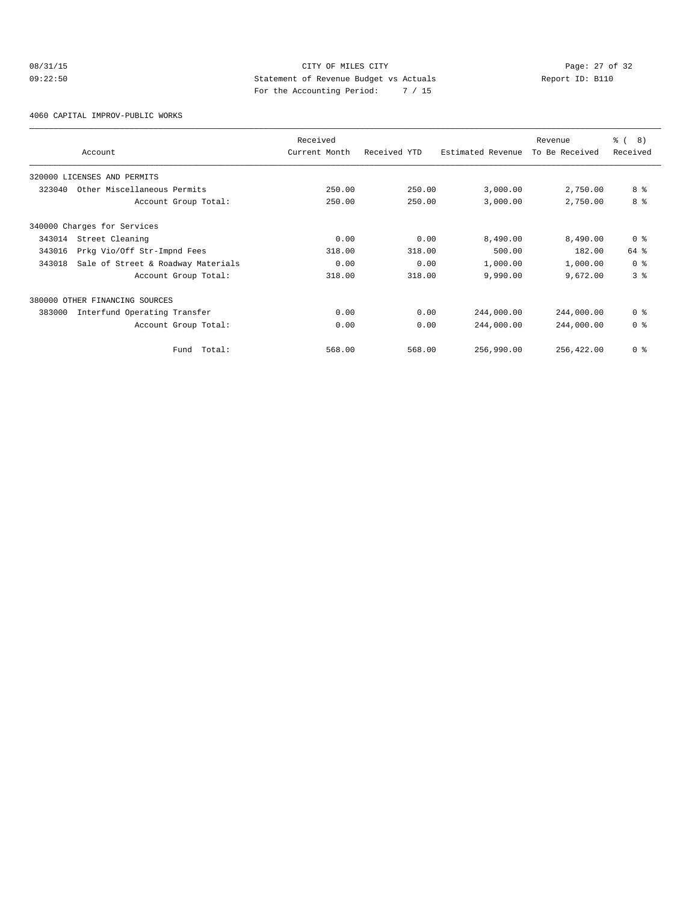# 08/31/15 Page: 27 of 32 09:22:50 Statement of Revenue Budget vs Actuals Report ID: B110 For the Accounting Period: 7 / 15

4060 CAPITAL IMPROV-PUBLIC WORKS

|        | Account                            | Received<br>Current Month | Received YTD | Estimated Revenue | Revenue<br>To Be Received | ී (<br>8)<br>Received |
|--------|------------------------------------|---------------------------|--------------|-------------------|---------------------------|-----------------------|
|        |                                    |                           |              |                   |                           |                       |
|        | 320000 LICENSES AND PERMITS        |                           |              |                   |                           |                       |
| 323040 | Other Miscellaneous Permits        | 250.00                    | 250.00       | 3,000.00          | 2,750.00                  | 8 %                   |
|        | Account Group Total:               | 250.00                    | 250.00       | 3,000.00          | 2,750.00                  | 8 %                   |
|        | 340000 Charges for Services        |                           |              |                   |                           |                       |
| 343014 | Street Cleaning                    | 0.00                      | 0.00         | 8,490.00          | 8,490.00                  | 0 <sup>8</sup>        |
| 343016 | Prkg Vio/Off Str-Impnd Fees        | 318.00                    | 318.00       | 500.00            | 182.00                    | 64 %                  |
| 343018 | Sale of Street & Roadway Materials | 0.00                      | 0.00         | 1,000.00          | 1,000.00                  | 0 <sup>8</sup>        |
|        | Account Group Total:               | 318.00                    | 318.00       | 9,990.00          | 9,672.00                  | 3 <sup>8</sup>        |
| 380000 | OTHER FINANCING SOURCES            |                           |              |                   |                           |                       |
| 383000 | Interfund Operating Transfer       | 0.00                      | 0.00         | 244,000.00        | 244,000.00                | 0 <sup>8</sup>        |
|        | Account Group Total:               | 0.00                      | 0.00         | 244,000.00        | 244,000.00                | 0 <sup>8</sup>        |
|        | Total:<br>Fund                     | 568.00                    | 568.00       | 256,990.00        | 256,422.00                | 0 <sup>8</sup>        |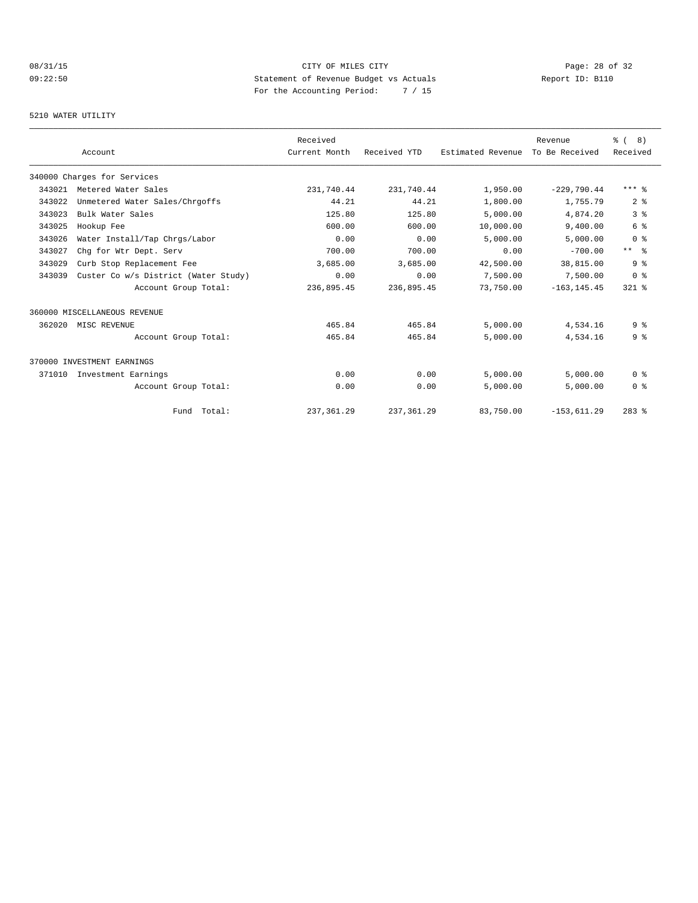# 08/31/15 CITY OF MILES CITY Page: 28 of 32 09:22:50 Statement of Revenue Budget vs Actuals  $R = \frac{1}{2}$  Report ID: B110 For the Accounting Period: 7 / 15

#### 5210 WATER UTILITY

|        |                                      | Received      |              |                   | Revenue        | % ( 8 )         |
|--------|--------------------------------------|---------------|--------------|-------------------|----------------|-----------------|
|        | Account                              | Current Month | Received YTD | Estimated Revenue | To Be Received | Received        |
|        | 340000 Charges for Services          |               |              |                   |                |                 |
| 343021 | Metered Water Sales                  | 231,740.44    | 231,740.44   | 1,950.00          | $-229,790.44$  | $***$ %         |
| 343022 | Unmetered Water Sales/Chrgoffs       | 44.21         | 44.21        | 1,800.00          | 1,755.79       | 2 <sup>8</sup>  |
| 343023 | Bulk Water Sales                     | 125.80        | 125.80       | 5,000.00          | 4,874.20       | 3 <sup>8</sup>  |
| 343025 | Hookup Fee                           | 600.00        | 600.00       | 10,000.00         | 9,400.00       | 6 %             |
| 343026 | Water Install/Tap Chrgs/Labor        | 0.00          | 0.00         | 5,000.00          | 5,000.00       | 0 <sup>8</sup>  |
| 343027 | Chq for Wtr Dept. Serv               | 700.00        | 700.00       | 0.00              | $-700.00$      | $***$ $\approx$ |
| 343029 | Curb Stop Replacement Fee            | 3,685.00      | 3,685.00     | 42,500.00         | 38,815.00      | 9 <sup>8</sup>  |
| 343039 | Custer Co w/s District (Water Study) | 0.00          | 0.00         | 7,500.00          | 7,500.00       | 0 <sup>8</sup>  |
|        | Account Group Total:                 | 236,895.45    | 236,895.45   | 73,750.00         | $-163, 145.45$ | $321$ $%$       |
|        | 360000 MISCELLANEOUS REVENUE         |               |              |                   |                |                 |
| 362020 | MISC REVENUE                         | 465.84        | 465.84       | 5,000.00          | 4,534.16       | 9%              |
|        | Account Group Total:                 | 465.84        | 465.84       | 5,000.00          | 4,534.16       | 9 <sub>8</sub>  |
|        | 370000 INVESTMENT EARNINGS           |               |              |                   |                |                 |
| 371010 | Investment Earnings                  | 0.00          | 0.00         | 5.000.00          | 5.000.00       | 0 <sup>8</sup>  |
|        | Account Group Total:                 | 0.00          | 0.00         | 5,000.00          | 5,000.00       | 0 <sup>8</sup>  |
|        | Fund Total:                          | 237, 361.29   | 237, 361.29  | 83,750.00         | $-153,611.29$  | $283$ $%$       |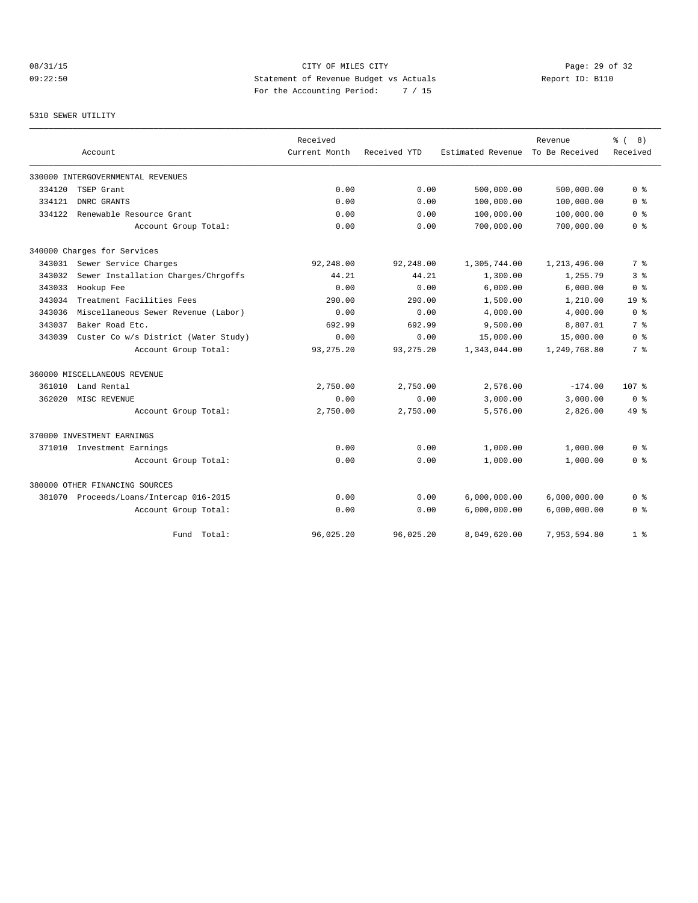# 08/31/15 Page: 29 of 32 09:22:50 Statement of Revenue Budget vs Actuals Report ID: B110 For the Accounting Period: 7 / 15

#### 5310 SEWER UTILITY

|        |                                         | Received      |              |                   | Revenue        | දි (<br>8)       |
|--------|-----------------------------------------|---------------|--------------|-------------------|----------------|------------------|
|        | Account                                 | Current Month | Received YTD | Estimated Revenue | To Be Received | Received         |
|        | 330000 INTERGOVERNMENTAL REVENUES       |               |              |                   |                |                  |
| 334120 | TSEP Grant                              | 0.00          | 0.00         | 500,000.00        | 500,000.00     | 0 <sup>8</sup>   |
| 334121 | DNRC GRANTS                             | 0.00          | 0.00         | 100,000.00        | 100,000.00     | 0 <sub>8</sub>   |
| 334122 | Renewable Resource Grant                | 0.00          | 0.00         | 100,000.00        | 100,000.00     | 0 <sup>8</sup>   |
|        | Account Group Total:                    | 0.00          | 0.00         | 700,000.00        | 700,000.00     | 0 <sup>8</sup>   |
|        | 340000 Charges for Services             |               |              |                   |                |                  |
| 343031 | Sewer Service Charges                   | 92,248.00     | 92,248.00    | 1,305,744.00      | 1,213,496.00   | 7 %              |
| 343032 | Sewer Installation Charges/Chrgoffs     | 44.21         | 44.21        | 1,300.00          | 1,255.79       | 3 %              |
| 343033 | Hookup Fee                              | 0.00          | 0.00         | 6,000.00          | 6,000.00       | 0 <sup>8</sup>   |
| 343034 | Treatment Facilities Fees               | 290.00        | 290.00       | 1,500.00          | 1,210.00       | 19 <sup>8</sup>  |
| 343036 | Miscellaneous Sewer Revenue (Labor)     | 0.00          | 0.00         | 4,000.00          | 4,000.00       | 0 <sup>8</sup>   |
| 343037 | Baker Road Etc.                         | 692.99        | 692.99       | 9,500.00          | 8,807.01       | 7 %              |
| 343039 | Custer Co w/s District (Water Study)    | 0.00          | 0.00         | 15,000.00         | 15,000.00      | 0 <sup>8</sup>   |
|        | Account Group Total:                    | 93, 275. 20   | 93, 275. 20  | 1,343,044.00      | 1,249,768.80   | 7 %              |
|        | 360000 MISCELLANEOUS REVENUE            |               |              |                   |                |                  |
| 361010 | Land Rental                             | 2,750.00      | 2,750.00     | 2,576.00          | $-174.00$      | 107 <sub>8</sub> |
| 362020 | MISC REVENUE                            | 0.00          | 0.00         | 3,000.00          | 3,000.00       | 0 <sup>8</sup>   |
|        | Account Group Total:                    | 2,750.00      | 2,750.00     | 5,576.00          | 2,826.00       | 49 %             |
|        | 370000 INVESTMENT EARNINGS              |               |              |                   |                |                  |
|        | 371010 Investment Earnings              | 0.00          | 0.00         | 1,000.00          | 1,000.00       | 0 <sup>8</sup>   |
|        | Account Group Total:                    | 0.00          | 0.00         | 1,000.00          | 1,000.00       | 0 %              |
|        | 380000 OTHER FINANCING SOURCES          |               |              |                   |                |                  |
|        | 381070 Proceeds/Loans/Intercap 016-2015 | 0.00          | 0.00         | 6,000,000.00      | 6,000,000.00   | 0 %              |
|        | Account Group Total:                    | 0.00          | 0.00         | 6,000,000.00      | 6,000,000.00   | 0 <sup>8</sup>   |
|        | Total:<br>Fund                          | 96,025.20     | 96,025.20    | 8,049,620.00      | 7,953,594.80   | 1 <sup>8</sup>   |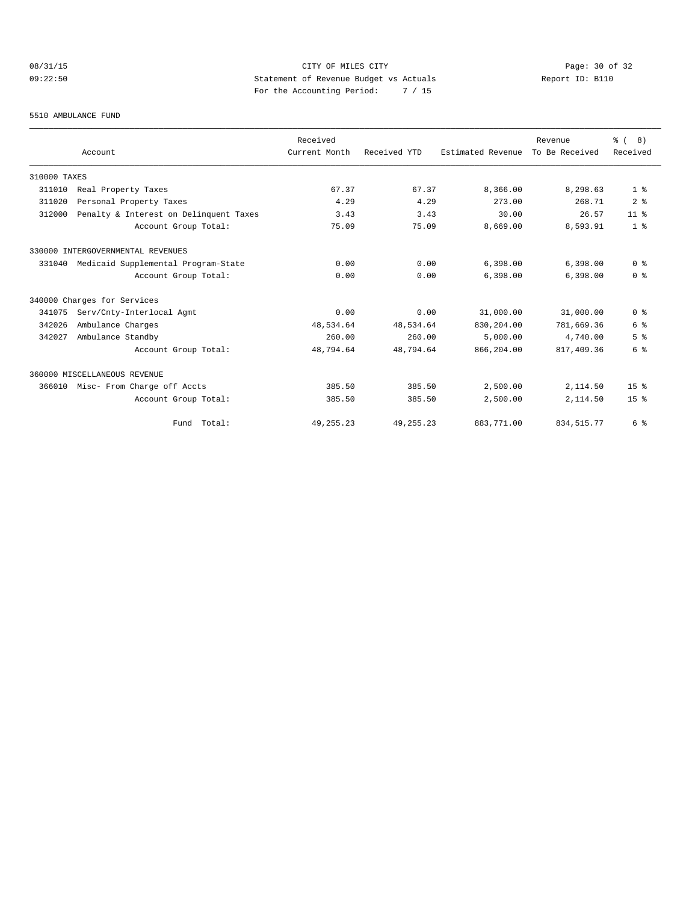# 08/31/15 Page: 30 of 32 09:22:50 Statement of Revenue Budget vs Actuals Report ID: B110 For the Accounting Period: 7 / 15

#### 5510 AMBULANCE FUND

|              |                                        | Received      |              |                   | Revenue        | $\frac{6}{6}$ ( 8) |
|--------------|----------------------------------------|---------------|--------------|-------------------|----------------|--------------------|
|              | Account                                | Current Month | Received YTD | Estimated Revenue | To Be Received | Received           |
| 310000 TAXES |                                        |               |              |                   |                |                    |
| 311010       | Real Property Taxes                    | 67.37         | 67.37        | 8,366.00          | 8,298.63       | 1 <sup>8</sup>     |
| 311020       | Personal Property Taxes                | 4.29          | 4.29         | 273.00            | 268.71         | 2 <sup>°</sup>     |
| 312000       | Penalty & Interest on Delinquent Taxes | 3.43          | 3.43         | 30.00             | 26.57          | 11 <sup>8</sup>    |
|              | Account Group Total:                   | 75.09         | 75.09        | 8,669.00          | 8,593.91       | 1 <sup>8</sup>     |
|              | 330000 INTERGOVERNMENTAL REVENUES      |               |              |                   |                |                    |
| 331040       | Medicaid Supplemental Program-State    | 0.00          | 0.00         | 6,398.00          | 6.398.00       | 0 <sup>8</sup>     |
|              | Account Group Total:                   | 0.00          | 0.00         | 6,398.00          | 6,398.00       | 0 <sup>8</sup>     |
|              | 340000 Charges for Services            |               |              |                   |                |                    |
| 341075       | Serv/Cnty-Interlocal Agmt              | 0.00          | 0.00         | 31,000.00         | 31,000.00      | 0 <sup>8</sup>     |
| 342026       | Ambulance Charges                      | 48,534.64     | 48,534.64    | 830,204.00        | 781,669.36     | 6 %                |
| 342027       | Ambulance Standby                      | 260.00        | 260.00       | 5,000.00          | 4,740.00       | 5 <sup>8</sup>     |
|              | Account Group Total:                   | 48,794.64     | 48,794.64    | 866,204.00        | 817,409.36     | 6 %                |
|              | 360000 MISCELLANEOUS REVENUE           |               |              |                   |                |                    |
| 366010       | Misc- From Charge off Accts            | 385.50        | 385.50       | 2,500.00          | 2,114.50       | 15 <sup>8</sup>    |
|              | Account Group Total:                   | 385.50        | 385.50       | 2,500.00          | 2,114.50       | 15 <sup>8</sup>    |
|              | Fund Total:                            | 49, 255. 23   | 49, 255. 23  | 883,771.00        | 834, 515. 77   | 6 %                |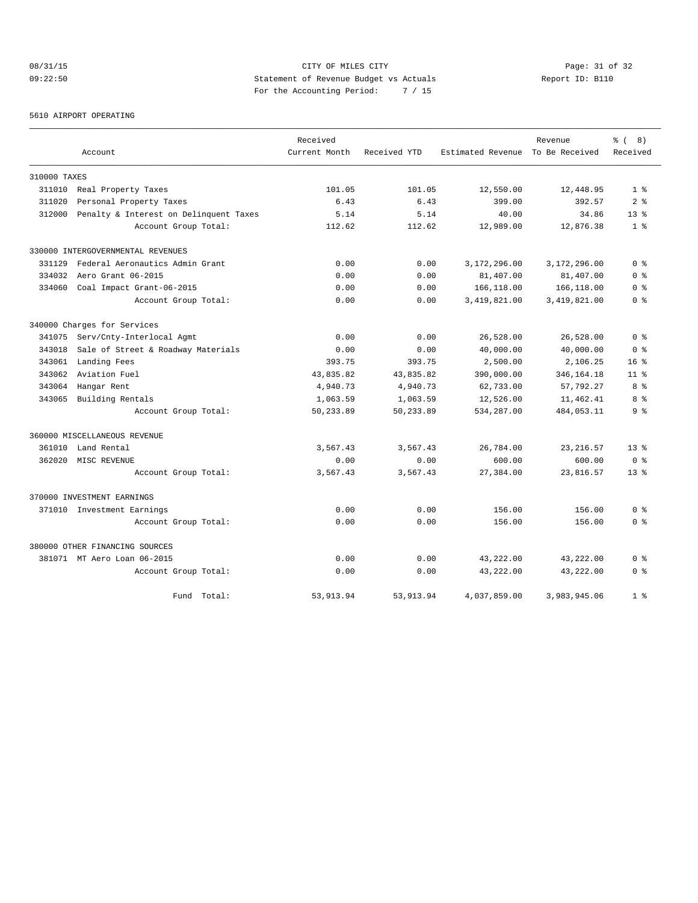# 08/31/15 Page: 31 of 32 09:22:50 Statement of Revenue Budget vs Actuals Report ID: B110 For the Accounting Period: 7 / 15

5610 AIRPORT OPERATING

|              |                                        | Received      |              |                   | Revenue        | 8)<br><u> १</u> |
|--------------|----------------------------------------|---------------|--------------|-------------------|----------------|-----------------|
|              | Account                                | Current Month | Received YTD | Estimated Revenue | To Be Received | Received        |
| 310000 TAXES |                                        |               |              |                   |                |                 |
| 311010       | Real Property Taxes                    | 101.05        | 101.05       | 12,550.00         | 12,448.95      | 1 <sup>8</sup>  |
| 311020       | Personal Property Taxes                | 6.43          | 6.43         | 399.00            | 392.57         | 2 <sup>8</sup>  |
| 312000       | Penalty & Interest on Delinquent Taxes | 5.14          | 5.14         | 40.00             | 34.86          | $13*$           |
|              | Account Group Total:                   | 112.62        | 112.62       | 12,989.00         | 12,876.38      | 1 <sup>8</sup>  |
|              | 330000 INTERGOVERNMENTAL REVENUES      |               |              |                   |                |                 |
| 331129       | Federal Aeronautics Admin Grant        | 0.00          | 0.00         | 3,172,296.00      | 3,172,296.00   | 0 <sup>8</sup>  |
| 334032       | Aero Grant 06-2015                     | 0.00          | 0.00         | 81,407.00         | 81,407.00      | 0 <sup>8</sup>  |
| 334060       | Coal Impact Grant-06-2015              | 0.00          | 0.00         | 166,118.00        | 166,118.00     | 0 %             |
|              | Account Group Total:                   | 0.00          | 0.00         | 3,419,821.00      | 3,419,821.00   | 0 %             |
|              | 340000 Charges for Services            |               |              |                   |                |                 |
| 341075       | Serv/Cnty-Interlocal Agmt              | 0.00          | 0.00         | 26,528.00         | 26,528.00      | 0 <sup>8</sup>  |
| 343018       | Sale of Street & Roadway Materials     | 0.00          | 0.00         | 40,000.00         | 40,000.00      | 0 <sup>8</sup>  |
| 343061       | Landing Fees                           | 393.75        | 393.75       | 2,500.00          | 2,106.25       | 16 <sup>8</sup> |
| 343062       | Aviation Fuel                          | 43,835.82     | 43,835.82    | 390,000.00        | 346, 164. 18   | 11 <sup>8</sup> |
| 343064       | Hangar Rent                            | 4,940.73      | 4,940.73     | 62,733.00         | 57,792.27      | 8 %             |
| 343065       | Building Rentals                       | 1,063.59      | 1,063.59     | 12,526.00         | 11,462.41      | 8 %             |
|              | Account Group Total:                   | 50,233.89     | 50,233.89    | 534,287.00        | 484,053.11     | 9 <sup>8</sup>  |
|              | 360000 MISCELLANEOUS REVENUE           |               |              |                   |                |                 |
| 361010       | Land Rental                            | 3,567.43      | 3,567.43     | 26,784.00         | 23, 216.57     | 13 <sup>8</sup> |
| 362020       | MISC REVENUE                           | 0.00          | 0.00         | 600.00            | 600.00         | 0 <sup>8</sup>  |
|              | Account Group Total:                   | 3,567.43      | 3,567.43     | 27,384.00         | 23,816.57      | 13 <sup>8</sup> |
|              | 370000 INVESTMENT EARNINGS             |               |              |                   |                |                 |
|              | 371010 Investment Earnings             | 0.00          | 0.00         | 156.00            | 156.00         | 0 <sup>8</sup>  |
|              | Account Group Total:                   | 0.00          | 0.00         | 156.00            | 156.00         | 0 <sup>8</sup>  |
|              | 380000 OTHER FINANCING SOURCES         |               |              |                   |                |                 |
|              | 381071 MT Aero Loan 06-2015            | 0.00          | 0.00         | 43,222.00         | 43,222.00      | 0 <sup>8</sup>  |
|              | Account Group Total:                   | 0.00          | 0.00         | 43,222.00         | 43,222.00      | 0 <sup>8</sup>  |
|              | Fund Total:                            | 53, 913.94    | 53, 913. 94  | 4,037,859.00      | 3,983,945.06   | 1 <sup>8</sup>  |